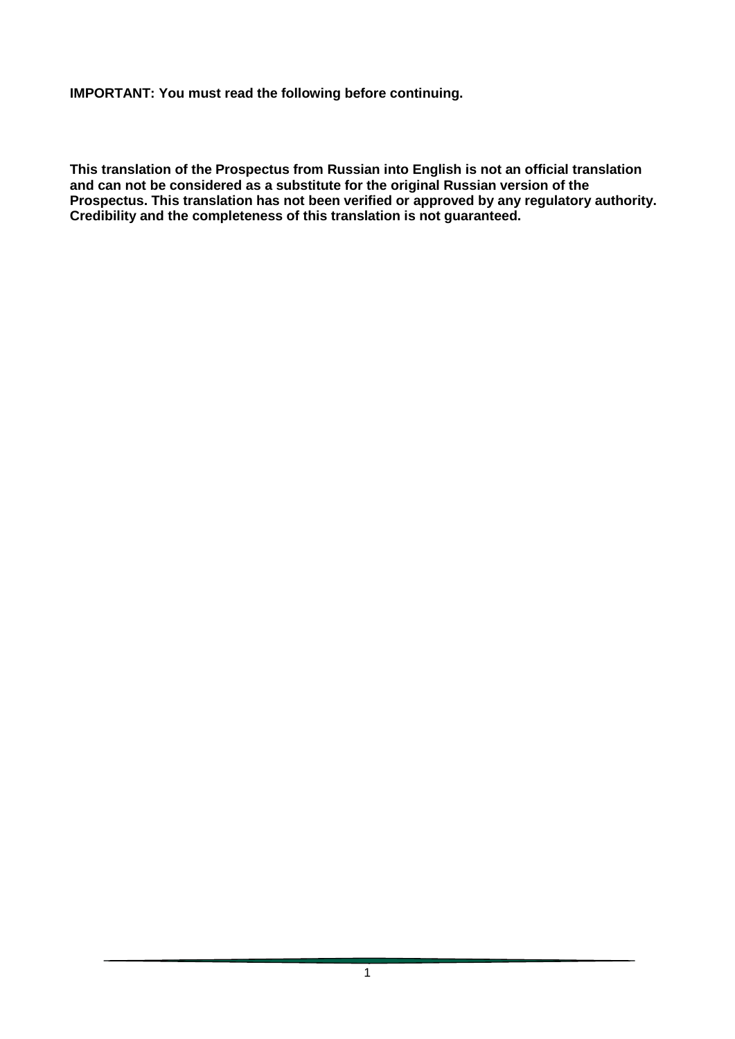**IMPORTANT: You must read the following before continuing.**

**This translation of the Prospectus from Russian into English is not an official translation and can not be considered as a substitute for the original Russian version of the Prospectus. This translation has not been verified or approved by any regulatory authority. Credibility and the completeness of this translation is not guaranteed.**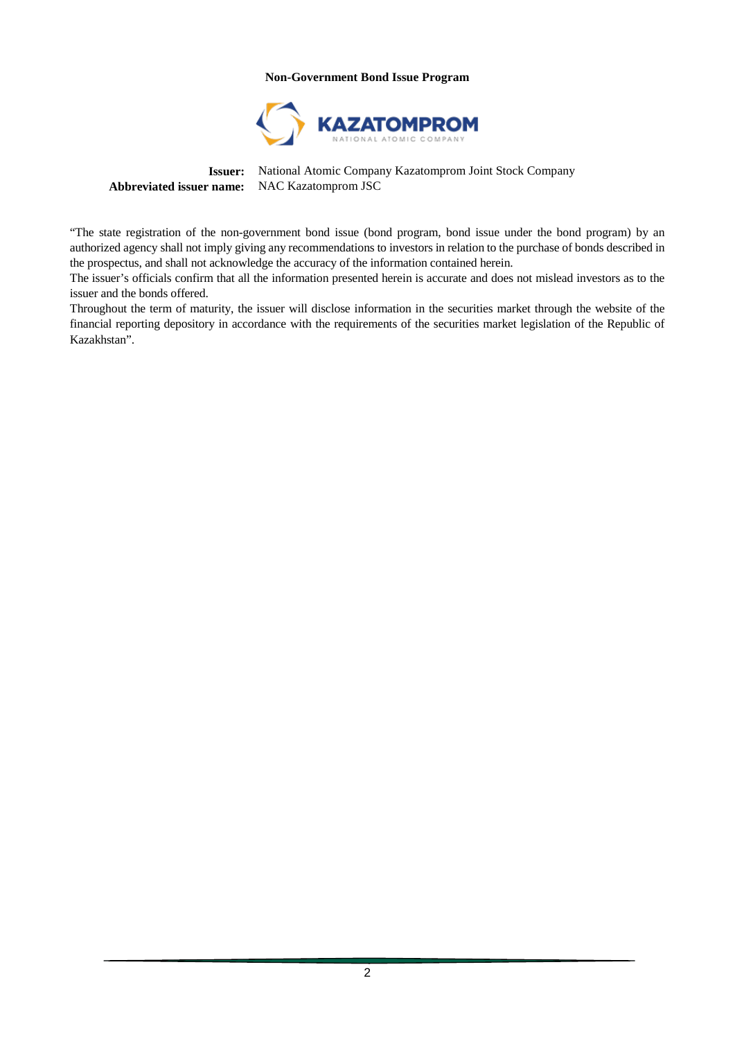#### **Non-Government Bond Issue Program**



**Issuer:** National Atomic Company Kazatomprom Joint Stock Company **Abbreviated issuer name:** NAC Kazatomprom JSC

"The state registration of the non-government bond issue (bond program, bond issue under the bond program) by an authorized agency shall not imply giving any recommendations to investors in relation to the purchase of bonds described in the prospectus, and shall not acknowledge the accuracy of the information contained herein.

The issuer's officials confirm that all the information presented herein is accurate and does not mislead investors as to the issuer and the bonds offered.

Throughout the term of maturity, the issuer will disclose information in the securities market through the website of the financial reporting depository in accordance with the requirements of the securities market legislation of the Republic of Kazakhstan".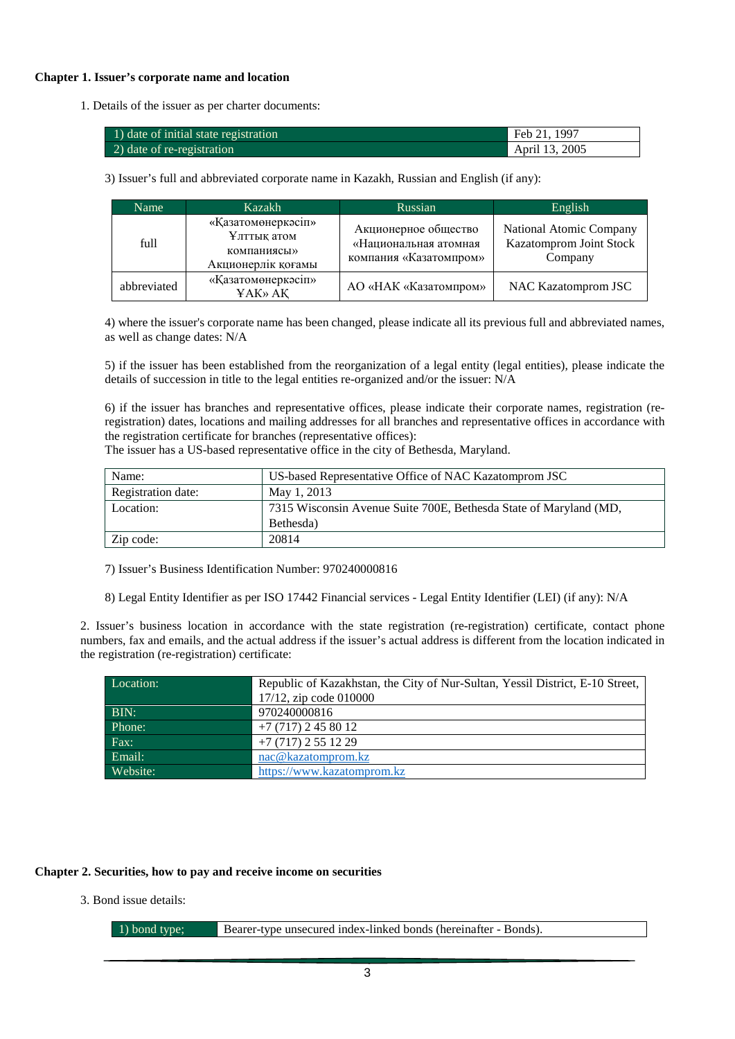#### **Chapter 1. Issuer's corporate name and location**

1. Details of the issuer as per charter documents:

| 1) date of initial state registration | Feb 21, 1997   |
|---------------------------------------|----------------|
| 2) date of re-registration            | April 13, 2005 |

3) Issuer's full and abbreviated corporate name in Kazakh, Russian and English (if any):

| Name        | Kazakh                                                                 | Russian                                                                 | English                                                       |
|-------------|------------------------------------------------------------------------|-------------------------------------------------------------------------|---------------------------------------------------------------|
| full        | «Қазатомөнеркәсіп»<br>Ұлттық атом<br>компаниясы»<br>Акционерлік қоғамы | Акционерное общество<br>«Национальная атомная<br>компания «Казатомпром» | National Atomic Company<br>Kazatomprom Joint Stock<br>Company |
| abbreviated | «Қазатомөнеркәсіп»<br>ҰАК» АҚ                                          | AO «НАК «Казатомпром»                                                   | NAC Kazatomprom JSC                                           |

4) where the issuer's corporate name has been changed, please indicate all its previous full and abbreviated names, as well as change dates: N/A

5) if the issuer has been established from the reorganization of a legal entity (legal entities), please indicate the details of succession in title to the legal entities re-organized and/or the issuer: N/A

6) if the issuer has branches and representative offices, please indicate their corporate names, registration (reregistration) dates, locations and mailing addresses for all branches and representative offices in accordance with the registration certificate for branches (representative offices):

The issuer has a US-based representative office in the city of Bethesda, Maryland.

| Name:              | US-based Representative Office of NAC Kazatomprom JSC             |
|--------------------|-------------------------------------------------------------------|
| Registration date: | May 1, 2013                                                       |
| Location:          | 7315 Wisconsin Avenue Suite 700E, Bethesda State of Maryland (MD, |
|                    | Bethesda)                                                         |
| Zip code:          | 20814                                                             |

7) Issuer's Business Identification Number: 970240000816

8) Legal Entity Identifier as per ISO 17442 Financial services - Legal Entity Identifier (LEI) (if any): N/A

2. Issuer's business location in accordance with the state registration (re-registration) certificate, contact phone numbers, fax and emails, and the actual address if the issuer's actual address is different from the location indicated in the registration (re-registration) certificate:

| Location: | Republic of Kazakhstan, the City of Nur-Sultan, Yessil District, E-10 Street, |
|-----------|-------------------------------------------------------------------------------|
|           | $17/12$ , zip code 010000                                                     |
| BIN:      | 970240000816                                                                  |
| Phone:    | $+7(717)$ 2 45 80 12                                                          |
| Fax:      | $+7(717)$ 2 55 12 29                                                          |
| Email:    | nac@kazatomprom.kz                                                            |
| Website:  | https://www.kazatomprom.kz                                                    |

#### **Chapter 2. Securities, how to pay and receive income on securities**

3. Bond issue details:

1) bond type; Bearer-type unsecured index-linked bonds (hereinafter - Bonds).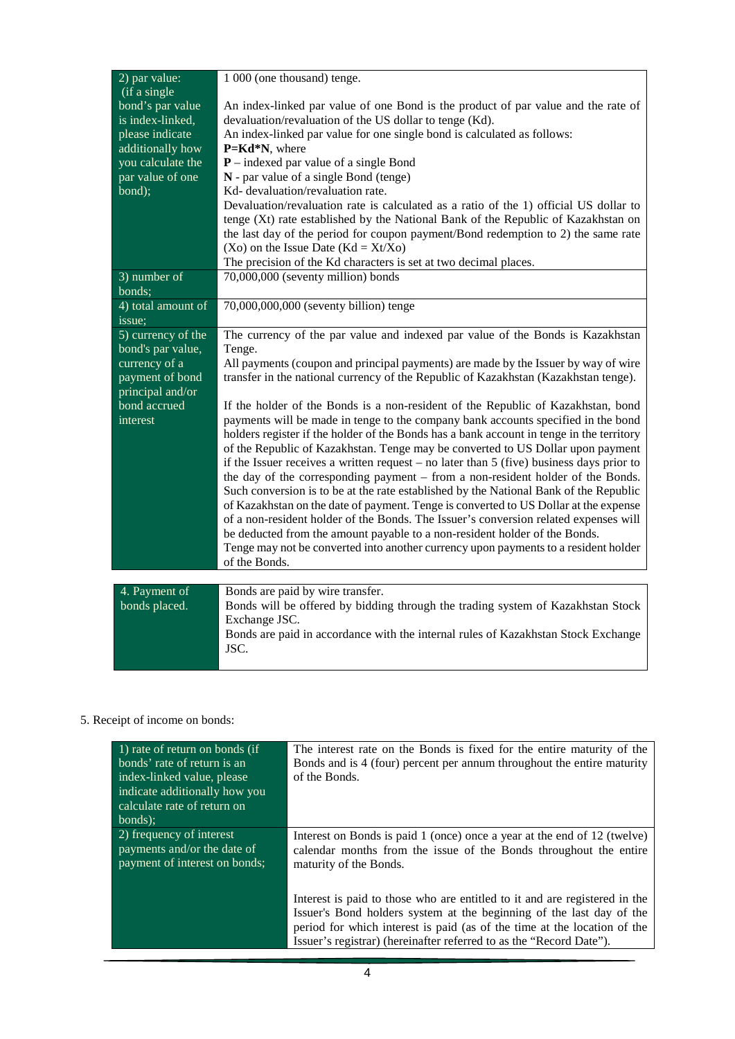| 2) par value:                                                                               | 1 000 (one thousand) tenge.                                                                                                                                                                                                                                                                                                                                                                                                                         |
|---------------------------------------------------------------------------------------------|-----------------------------------------------------------------------------------------------------------------------------------------------------------------------------------------------------------------------------------------------------------------------------------------------------------------------------------------------------------------------------------------------------------------------------------------------------|
| (if a single<br>bond's par value<br>is index-linked,<br>please indicate<br>additionally how | An index-linked par value of one Bond is the product of par value and the rate of<br>devaluation/revaluation of the US dollar to tenge (Kd).<br>An index-linked par value for one single bond is calculated as follows:<br>P=Kd*N, where                                                                                                                                                                                                            |
| you calculate the                                                                           | $P$ – indexed par value of a single Bond                                                                                                                                                                                                                                                                                                                                                                                                            |
| par value of one                                                                            | N - par value of a single Bond (tenge)                                                                                                                                                                                                                                                                                                                                                                                                              |
| bond);                                                                                      | Kd- devaluation/revaluation rate.                                                                                                                                                                                                                                                                                                                                                                                                                   |
|                                                                                             | Devaluation/revaluation rate is calculated as a ratio of the 1) official US dollar to<br>tenge (Xt) rate established by the National Bank of the Republic of Kazakhstan on<br>the last day of the period for coupon payment/Bond redemption to 2) the same rate                                                                                                                                                                                     |
|                                                                                             | $(Xo)$ on the Issue Date $(Kd = Xt/Xo)$<br>The precision of the Kd characters is set at two decimal places.                                                                                                                                                                                                                                                                                                                                         |
| 3) number of                                                                                | 70,000,000 (seventy million) bonds                                                                                                                                                                                                                                                                                                                                                                                                                  |
| bonds;                                                                                      |                                                                                                                                                                                                                                                                                                                                                                                                                                                     |
| 4) total amount of<br>issue;                                                                | 70,000,000,000 (seventy billion) tenge                                                                                                                                                                                                                                                                                                                                                                                                              |
| 5) currency of the                                                                          | The currency of the par value and indexed par value of the Bonds is Kazakhstan                                                                                                                                                                                                                                                                                                                                                                      |
| bond's par value,                                                                           | Tenge.                                                                                                                                                                                                                                                                                                                                                                                                                                              |
| currency of a<br>payment of bond                                                            | All payments (coupon and principal payments) are made by the Issuer by way of wire<br>transfer in the national currency of the Republic of Kazakhstan (Kazakhstan tenge).                                                                                                                                                                                                                                                                           |
| principal and/or                                                                            |                                                                                                                                                                                                                                                                                                                                                                                                                                                     |
| bond accrued                                                                                | If the holder of the Bonds is a non-resident of the Republic of Kazakhstan, bond                                                                                                                                                                                                                                                                                                                                                                    |
| interest                                                                                    | payments will be made in tenge to the company bank accounts specified in the bond<br>holders register if the holder of the Bonds has a bank account in tenge in the territory<br>of the Republic of Kazakhstan. Tenge may be converted to US Dollar upon payment<br>if the Issuer receives a written request $-$ no later than $5$ (five) business days prior to<br>the day of the corresponding payment – from a non-resident holder of the Bonds. |
|                                                                                             | Such conversion is to be at the rate established by the National Bank of the Republic                                                                                                                                                                                                                                                                                                                                                               |
|                                                                                             | of Kazakhstan on the date of payment. Tenge is converted to US Dollar at the expense<br>of a non-resident holder of the Bonds. The Issuer's conversion related expenses will                                                                                                                                                                                                                                                                        |
|                                                                                             | be deducted from the amount payable to a non-resident holder of the Bonds.<br>Tenge may not be converted into another currency upon payments to a resident holder                                                                                                                                                                                                                                                                                   |
|                                                                                             | of the Bonds.                                                                                                                                                                                                                                                                                                                                                                                                                                       |
|                                                                                             |                                                                                                                                                                                                                                                                                                                                                                                                                                                     |
| 4. Payment of<br>bonds placed.                                                              | Bonds are paid by wire transfer.                                                                                                                                                                                                                                                                                                                                                                                                                    |
|                                                                                             | Bonds will be offered by bidding through the trading system of Kazakhstan Stock<br>Exchange JSC.                                                                                                                                                                                                                                                                                                                                                    |
|                                                                                             | Bonds are paid in accordance with the internal rules of Kazakhstan Stock Exchange<br>JSC.                                                                                                                                                                                                                                                                                                                                                           |
|                                                                                             |                                                                                                                                                                                                                                                                                                                                                                                                                                                     |

# 5. Receipt of income on bonds:

| 1) rate of return on bonds (if<br>bonds' rate of return is an<br>index-linked value, please<br>indicate additionally how you<br>calculate rate of return on<br>bonds); | The interest rate on the Bonds is fixed for the entire maturity of the<br>Bonds and is 4 (four) percent per annum throughout the entire maturity<br>of the Bonds.                                                                                     |
|------------------------------------------------------------------------------------------------------------------------------------------------------------------------|-------------------------------------------------------------------------------------------------------------------------------------------------------------------------------------------------------------------------------------------------------|
| $\overline{2}$ ) frequency of interest<br>payments and/or the date of<br>payment of interest on bonds;                                                                 | Interest on Bonds is paid 1 (once) once a year at the end of 12 (twelve)<br>calendar months from the issue of the Bonds throughout the entire<br>maturity of the Bonds.<br>Interest is paid to those who are entitled to it and are registered in the |
|                                                                                                                                                                        | Issuer's Bond holders system at the beginning of the last day of the<br>period for which interest is paid (as of the time at the location of the<br>Issuer's registrar) (hereinafter referred to as the "Record Date").                               |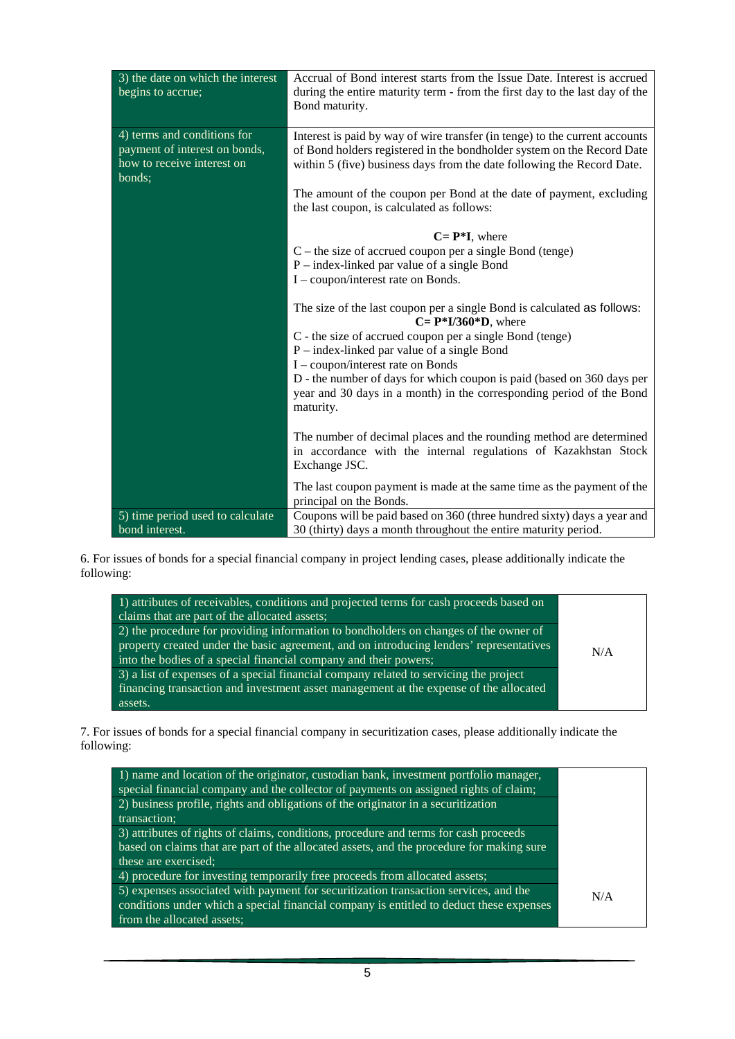| 3) the date on which the interest<br>begins to accrue;                                                           | Accrual of Bond interest starts from the Issue Date. Interest is accrued<br>during the entire maturity term - from the first day to the last day of the<br>Bond maturity.                                                       |
|------------------------------------------------------------------------------------------------------------------|---------------------------------------------------------------------------------------------------------------------------------------------------------------------------------------------------------------------------------|
| $\overline{4}$ terms and conditions for<br>payment of interest on bonds,<br>how to receive interest on<br>bonds; | Interest is paid by way of wire transfer (in tenge) to the current accounts<br>of Bond holders registered in the bondholder system on the Record Date<br>within 5 (five) business days from the date following the Record Date. |
|                                                                                                                  | The amount of the coupon per Bond at the date of payment, excluding<br>the last coupon, is calculated as follows:                                                                                                               |
|                                                                                                                  | $C = P^*I$ , where                                                                                                                                                                                                              |
|                                                                                                                  | $C$ – the size of accrued coupon per a single Bond (tenge)                                                                                                                                                                      |
|                                                                                                                  | $P$ – index-linked par value of a single Bond                                                                                                                                                                                   |
|                                                                                                                  | I – coupon/interest rate on Bonds.                                                                                                                                                                                              |
|                                                                                                                  | The size of the last coupon per a single Bond is calculated as follows:<br>$C = P*I/360*D$ , where                                                                                                                              |
|                                                                                                                  | C - the size of accrued coupon per a single Bond (tenge)<br>$P$ – index-linked par value of a single Bond                                                                                                                       |
|                                                                                                                  | I - coupon/interest rate on Bonds                                                                                                                                                                                               |
|                                                                                                                  | D - the number of days for which coupon is paid (based on 360 days per                                                                                                                                                          |
|                                                                                                                  | year and 30 days in a month) in the corresponding period of the Bond<br>maturity.                                                                                                                                               |
|                                                                                                                  | The number of decimal places and the rounding method are determined                                                                                                                                                             |
|                                                                                                                  | in accordance with the internal regulations of Kazakhstan Stock<br>Exchange JSC.                                                                                                                                                |
|                                                                                                                  | The last coupon payment is made at the same time as the payment of the<br>principal on the Bonds.                                                                                                                               |
| 5) time period used to calculate                                                                                 | Coupons will be paid based on 360 (three hundred sixty) days a year and                                                                                                                                                         |
| bond interest.                                                                                                   | 30 (thirty) days a month throughout the entire maturity period.                                                                                                                                                                 |

6. For issues of bonds for a special financial company in project lending cases, please additionally indicate the following:

| 1) attributes of receivables, conditions and projected terms for cash proceeds based on<br>claims that are part of the allocated assets;<br>2) the procedure for providing information to bondholders on changes of the owner of<br>property created under the basic agreement, and on introducing lenders' representatives<br>into the bodies of a special financial company and their powers; | N/A |
|-------------------------------------------------------------------------------------------------------------------------------------------------------------------------------------------------------------------------------------------------------------------------------------------------------------------------------------------------------------------------------------------------|-----|
| 3) a list of expenses of a special financial company related to servicing the project<br>financing transaction and investment asset management at the expense of the allocated<br>assets.                                                                                                                                                                                                       |     |

7. For issues of bonds for a special financial company in securitization cases, please additionally indicate the following:

| 1) name and location of the originator, custodian bank, investment portfolio manager,<br>special financial company and the collector of payments on assigned rights of claim;   |     |
|---------------------------------------------------------------------------------------------------------------------------------------------------------------------------------|-----|
| 2) business profile, rights and obligations of the originator in a securitization                                                                                               |     |
| transaction;                                                                                                                                                                    |     |
| 3) attributes of rights of claims, conditions, procedure and terms for cash proceeds                                                                                            |     |
| based on claims that are part of the allocated assets, and the procedure for making sure                                                                                        |     |
| these are exercised;                                                                                                                                                            |     |
| 4) procedure for investing temporarily free proceeds from allocated assets;                                                                                                     |     |
| 5) expenses associated with payment for securitization transaction services, and the<br>conditions under which a special financial company is entitled to deduct these expenses | N/A |
| from the allocated assets;                                                                                                                                                      |     |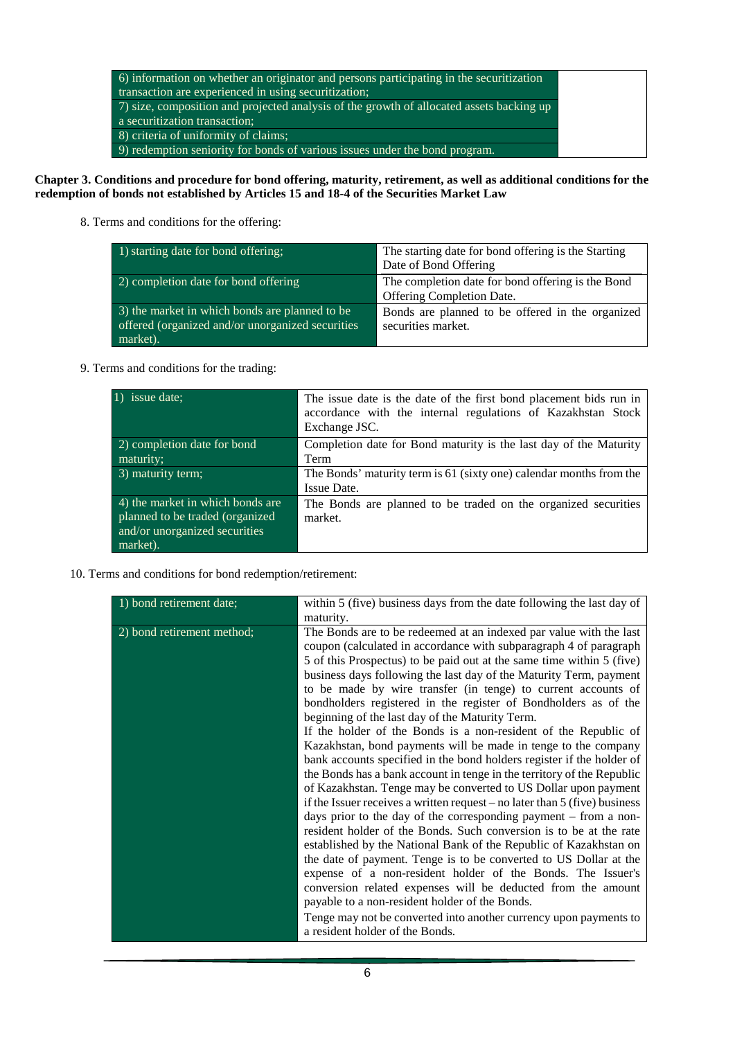| 6) information on whether an originator and persons participating in the securitization  |
|------------------------------------------------------------------------------------------|
| transaction are experienced in using securitization;                                     |
| 7) size, composition and projected analysis of the growth of allocated assets backing up |
| a securitization transaction;                                                            |
| 8) criteria of uniformity of claims;                                                     |
| $(9)$ redemption seniority for bonds of various issues under the bond program.           |

### **Chapter 3. Conditions and procedure for bond offering, maturity, retirement, as well as additional conditions for the redemption of bonds not established by Articles 15 and 18-4 of the Securities Market Law**

8. Terms and conditions for the offering:

| $(1)$ starting date for bond offering;                                                                         | The starting date for bond offering is the Starting<br>Date of Bond Offering   |
|----------------------------------------------------------------------------------------------------------------|--------------------------------------------------------------------------------|
| 2) completion date for bond offering                                                                           | The completion date for bond offering is the Bond<br>Offering Completion Date. |
| 3) the market in which bonds are planned to be<br>offered (organized and/or unorganized securities<br>market). | Bonds are planned to be offered in the organized<br>securities market.         |

9. Terms and conditions for the trading:

| 1) issue date:                                                                                                   | The issue date is the date of the first bond placement bids run in<br>accordance with the internal regulations of Kazakhstan Stock<br>Exchange JSC. |
|------------------------------------------------------------------------------------------------------------------|-----------------------------------------------------------------------------------------------------------------------------------------------------|
| 2) completion date for bond<br>maturity;                                                                         | Completion date for Bond maturity is the last day of the Maturity<br>Term                                                                           |
| 3) maturity term;                                                                                                | The Bonds' maturity term is 61 (sixty one) calendar months from the<br>Issue Date.                                                                  |
| 4) the market in which bonds are<br>planned to be traded (organized<br>and/or unorganized securities<br>market). | The Bonds are planned to be traded on the organized securities<br>market.                                                                           |

10. Terms and conditions for bond redemption/retirement:

| 1) bond retirement date;   | within 5 (five) business days from the date following the last day of        |
|----------------------------|------------------------------------------------------------------------------|
|                            | maturity.                                                                    |
| 2) bond retirement method; | The Bonds are to be redeemed at an indexed par value with the last           |
|                            | coupon (calculated in accordance with subparagraph 4 of paragraph            |
|                            | 5 of this Prospectus) to be paid out at the same time within 5 (five)        |
|                            | business days following the last day of the Maturity Term, payment           |
|                            | to be made by wire transfer (in tenge) to current accounts of                |
|                            | bondholders registered in the register of Bondholders as of the              |
|                            | beginning of the last day of the Maturity Term.                              |
|                            | If the holder of the Bonds is a non-resident of the Republic of              |
|                            | Kazakhstan, bond payments will be made in tenge to the company               |
|                            | bank accounts specified in the bond holders register if the holder of        |
|                            | the Bonds has a bank account in tenge in the territory of the Republic       |
|                            | of Kazakhstan. Tenge may be converted to US Dollar upon payment              |
|                            | if the Issuer receives a written request – no later than $5$ (five) business |
|                            | days prior to the day of the corresponding payment - from a non-             |
|                            | resident holder of the Bonds. Such conversion is to be at the rate           |
|                            | established by the National Bank of the Republic of Kazakhstan on            |
|                            | the date of payment. Tenge is to be converted to US Dollar at the            |
|                            | expense of a non-resident holder of the Bonds. The Issuer's                  |
|                            | conversion related expenses will be deducted from the amount                 |
|                            | payable to a non-resident holder of the Bonds.                               |
|                            | Tenge may not be converted into another currency upon payments to            |
|                            | a resident holder of the Bonds.                                              |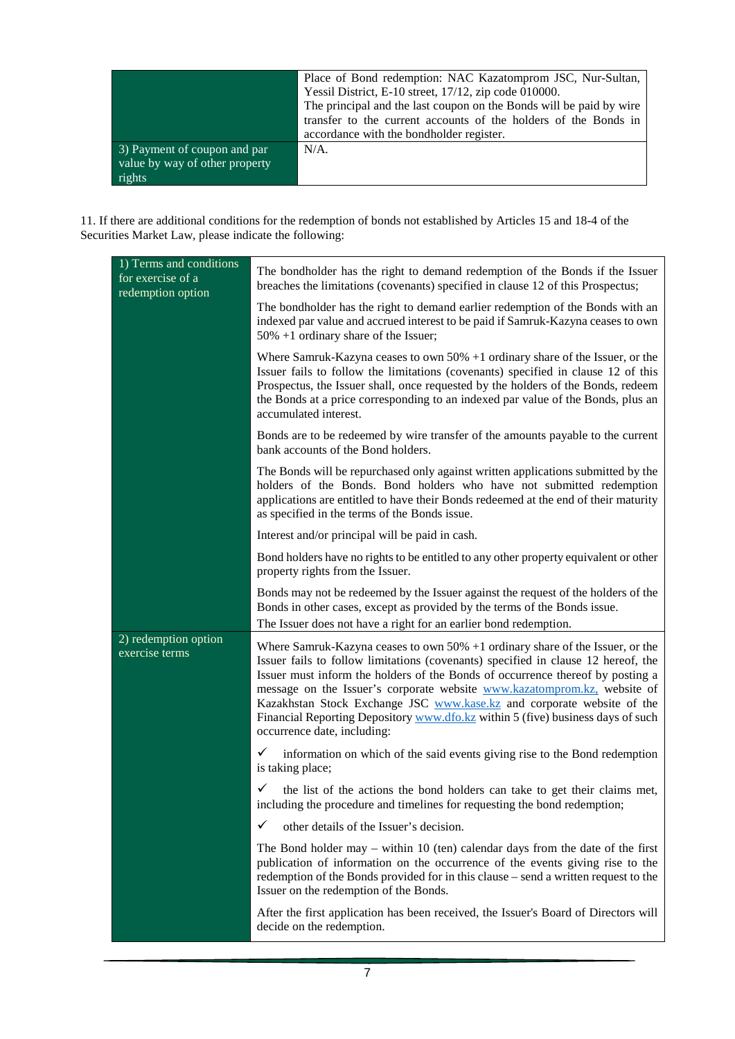| Place of Bond redemption: NAC Kazatomprom JSC, Nur-Sultan,          |
|---------------------------------------------------------------------|
| Yessil District, E-10 street, 17/12, zip code 010000.               |
| The principal and the last coupon on the Bonds will be paid by wire |
| transfer to the current accounts of the holders of the Bonds in     |
| accordance with the bondholder register.                            |
| $N/A$ .                                                             |
|                                                                     |
|                                                                     |
|                                                                     |

11. If there are additional conditions for the redemption of bonds not established by Articles 15 and 18-4 of the Securities Market Law, please indicate the following:

| 1) Terms and conditions<br>for exercise of a<br>redemption option | The bondholder has the right to demand redemption of the Bonds if the Issuer<br>breaches the limitations (covenants) specified in clause 12 of this Prospectus;                                                                                                                                                                                                                                                                                                                                                                 |
|-------------------------------------------------------------------|---------------------------------------------------------------------------------------------------------------------------------------------------------------------------------------------------------------------------------------------------------------------------------------------------------------------------------------------------------------------------------------------------------------------------------------------------------------------------------------------------------------------------------|
|                                                                   | The bondholder has the right to demand earlier redemption of the Bonds with an<br>indexed par value and accrued interest to be paid if Samruk-Kazyna ceases to own<br>50% +1 ordinary share of the Issuer;                                                                                                                                                                                                                                                                                                                      |
|                                                                   | Where Samruk-Kazyna ceases to own $50\% + 1$ ordinary share of the Issuer, or the<br>Issuer fails to follow the limitations (covenants) specified in clause 12 of this<br>Prospectus, the Issuer shall, once requested by the holders of the Bonds, redeem<br>the Bonds at a price corresponding to an indexed par value of the Bonds, plus an<br>accumulated interest.                                                                                                                                                         |
|                                                                   | Bonds are to be redeemed by wire transfer of the amounts payable to the current<br>bank accounts of the Bond holders.                                                                                                                                                                                                                                                                                                                                                                                                           |
|                                                                   | The Bonds will be repurchased only against written applications submitted by the<br>holders of the Bonds. Bond holders who have not submitted redemption<br>applications are entitled to have their Bonds redeemed at the end of their maturity<br>as specified in the terms of the Bonds issue.                                                                                                                                                                                                                                |
|                                                                   | Interest and/or principal will be paid in cash.                                                                                                                                                                                                                                                                                                                                                                                                                                                                                 |
|                                                                   | Bond holders have no rights to be entitled to any other property equivalent or other<br>property rights from the Issuer.                                                                                                                                                                                                                                                                                                                                                                                                        |
|                                                                   | Bonds may not be redeemed by the Issuer against the request of the holders of the<br>Bonds in other cases, except as provided by the terms of the Bonds issue.<br>The Issuer does not have a right for an earlier bond redemption.                                                                                                                                                                                                                                                                                              |
| 2) redemption option<br>exercise terms                            | Where Samruk-Kazyna ceases to own $50\%$ +1 ordinary share of the Issuer, or the<br>Issuer fails to follow limitations (covenants) specified in clause 12 hereof, the<br>Issuer must inform the holders of the Bonds of occurrence thereof by posting a<br>message on the Issuer's corporate website www.kazatomprom.kz, website of<br>Kazakhstan Stock Exchange JSC www.kase.kz and corporate website of the<br>Financial Reporting Depository www.dfo.kz within 5 (five) business days of such<br>occurrence date, including: |
|                                                                   | ✓<br>information on which of the said events giving rise to the Bond redemption<br>is taking place;                                                                                                                                                                                                                                                                                                                                                                                                                             |
|                                                                   | the list of the actions the bond holders can take to get their claims met,<br>✓<br>including the procedure and timelines for requesting the bond redemption;                                                                                                                                                                                                                                                                                                                                                                    |
|                                                                   | ✓<br>other details of the Issuer's decision.                                                                                                                                                                                                                                                                                                                                                                                                                                                                                    |
|                                                                   | The Bond holder may - within 10 (ten) calendar days from the date of the first<br>publication of information on the occurrence of the events giving rise to the<br>redemption of the Bonds provided for in this clause – send a written request to the<br>Issuer on the redemption of the Bonds.                                                                                                                                                                                                                                |
|                                                                   | After the first application has been received, the Issuer's Board of Directors will<br>decide on the redemption.                                                                                                                                                                                                                                                                                                                                                                                                                |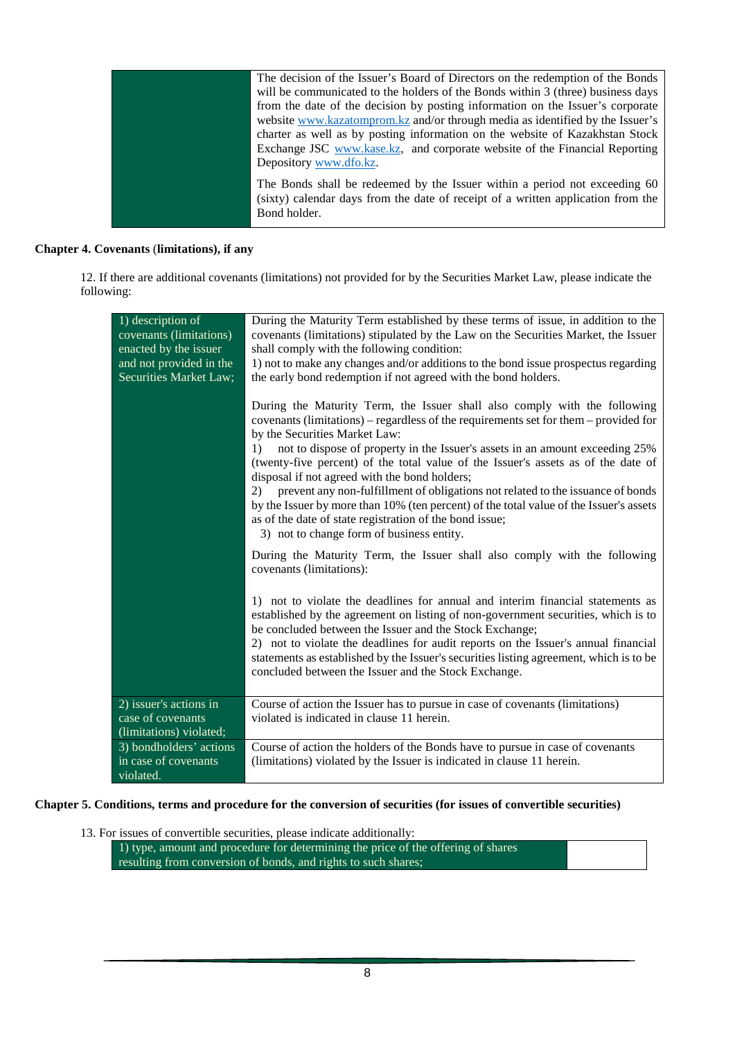|  | The decision of the Issuer's Board of Directors on the redemption of the Bonds                                                                                                 |
|--|--------------------------------------------------------------------------------------------------------------------------------------------------------------------------------|
|  | will be communicated to the holders of the Bonds within 3 (three) business days                                                                                                |
|  | from the date of the decision by posting information on the Issuer's corporate                                                                                                 |
|  | website www.kazatomprom.kz and/or through media as identified by the Issuer's                                                                                                  |
|  | charter as well as by posting information on the website of Kazakhstan Stock                                                                                                   |
|  | Exchange JSC www.kase.kz, and corporate website of the Financial Reporting                                                                                                     |
|  | Depository www.dfo.kz.                                                                                                                                                         |
|  | The Bonds shall be redeemed by the Issuer within a period not exceeding 60<br>(sixty) calendar days from the date of receipt of a written application from the<br>Bond holder. |
|  |                                                                                                                                                                                |

# **Chapter 4. Covenants** (**limitations), if any**

12. If there are additional covenants (limitations) not provided for by the Securities Market Law, please indicate the following:

| 1) description of<br>covenants (limitations)<br>enacted by the issuer<br>and not provided in the<br>Securities Market Law; | During the Maturity Term established by these terms of issue, in addition to the<br>covenants (limitations) stipulated by the Law on the Securities Market, the Issuer<br>shall comply with the following condition:<br>1) not to make any changes and/or additions to the bond issue prospectus regarding<br>the early bond redemption if not agreed with the bond holders.                                                                                           |
|----------------------------------------------------------------------------------------------------------------------------|------------------------------------------------------------------------------------------------------------------------------------------------------------------------------------------------------------------------------------------------------------------------------------------------------------------------------------------------------------------------------------------------------------------------------------------------------------------------|
|                                                                                                                            | During the Maturity Term, the Issuer shall also comply with the following<br>covenants (limitations) – regardless of the requirements set for them – provided for<br>by the Securities Market Law:<br>not to dispose of property in the Issuer's assets in an amount exceeding 25%<br>1)<br>(twenty-five percent) of the total value of the Issuer's assets as of the date of                                                                                          |
|                                                                                                                            | disposal if not agreed with the bond holders;<br>prevent any non-fulfillment of obligations not related to the issuance of bonds<br>2)<br>by the Issuer by more than 10% (ten percent) of the total value of the Issuer's assets<br>as of the date of state registration of the bond issue;<br>3) not to change form of business entity.                                                                                                                               |
|                                                                                                                            | During the Maturity Term, the Issuer shall also comply with the following<br>covenants (limitations):                                                                                                                                                                                                                                                                                                                                                                  |
|                                                                                                                            | 1) not to violate the deadlines for annual and interim financial statements as<br>established by the agreement on listing of non-government securities, which is to<br>be concluded between the Issuer and the Stock Exchange;<br>2) not to violate the deadlines for audit reports on the Issuer's annual financial<br>statements as established by the Issuer's securities listing agreement, which is to be<br>concluded between the Issuer and the Stock Exchange. |
| 2) issuer's actions in<br>case of covenants<br>(limitations) violated;                                                     | Course of action the Issuer has to pursue in case of covenants (limitations)<br>violated is indicated in clause 11 herein.                                                                                                                                                                                                                                                                                                                                             |
| 3) bondholders' actions<br>in case of covenants<br>violated.                                                               | Course of action the holders of the Bonds have to pursue in case of covenants<br>(limitations) violated by the Issuer is indicated in clause 11 herein.                                                                                                                                                                                                                                                                                                                |

## **Chapter 5. Conditions, terms and procedure for the conversion of securities (for issues of convertible securities)**

13. For issues of convertible securities, please indicate additionally:

1) type, amount and procedure for determining the price of the offering of shares resulting from conversion of bonds, and rights to such shares;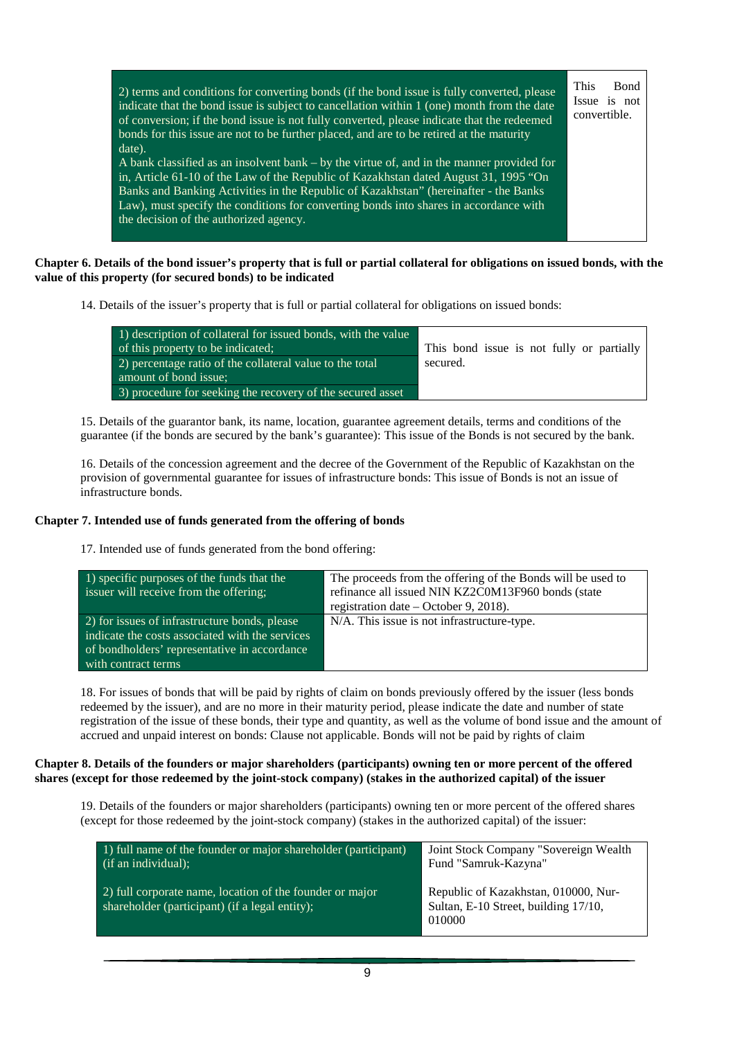| 2) terms and conditions for converting bonds (if the bond issue is fully converted, please<br>indicate that the bond issue is subject to cancellation within 1 (one) month from the date<br>of conversion; if the bond issue is not fully converted, please indicate that the redeemed<br>bonds for this issue are not to be further placed, and are to be retired at the maturity<br>date).                   | This<br><b>B</b> ond<br>Issue is not<br>convertible. |
|----------------------------------------------------------------------------------------------------------------------------------------------------------------------------------------------------------------------------------------------------------------------------------------------------------------------------------------------------------------------------------------------------------------|------------------------------------------------------|
| A bank classified as an insolvent bank $-$ by the virtue of, and in the manner provided for<br>in, Article 61-10 of the Law of the Republic of Kazakhstan dated August 31, 1995 "On<br>Banks and Banking Activities in the Republic of Kazakhstan" (hereinafter - the Banks<br>Law), must specify the conditions for converting bonds into shares in accordance with<br>the decision of the authorized agency. |                                                      |

### **Chapter 6. Details of the bond issuer's property that is full or partial collateral for obligations on issued bonds, with the value of this property (for secured bonds) to be indicated**

14. Details of the issuer's property that is full or partial collateral for obligations on issued bonds:

| 1) description of collateral for issued bonds, with the value |                                           |
|---------------------------------------------------------------|-------------------------------------------|
| of this property to be indicated;                             | This bond issue is not fully or partially |
| $(2)$ percentage ratio of the collateral value to the total   | secured.                                  |
| amount of bond issue:                                         |                                           |
| 3) procedure for seeking the recovery of the secured asset    |                                           |

15. Details of the guarantor bank, its name, location, guarantee agreement details, terms and conditions of the guarantee (if the bonds are secured by the bank's guarantee): This issue of the Bonds is not secured by the bank.

16. Details of the concession agreement and the decree of the Government of the Republic of Kazakhstan on the provision of governmental guarantee for issues of infrastructure bonds: This issue of Bonds is not an issue of infrastructure bonds.

## **Chapter 7. Intended use of funds generated from the offering of bonds**

17. Intended use of funds generated from the bond offering:

| 1) specific purposes of the funds that the<br>issuer will receive from the offering;                                                                                    | The proceeds from the offering of the Bonds will be used to<br>refinance all issued NIN KZ2C0M13F960 bonds (state<br>registration date $-$ October 9, 2018). |
|-------------------------------------------------------------------------------------------------------------------------------------------------------------------------|--------------------------------------------------------------------------------------------------------------------------------------------------------------|
| 2) for issues of infrastructure bonds, please<br>indicate the costs associated with the services<br>of bondholders' representative in accordance<br>with contract terms | N/A. This issue is not infrastructure-type.                                                                                                                  |

18. For issues of bonds that will be paid by rights of claim on bonds previously offered by the issuer (less bonds redeemed by the issuer), and are no more in their maturity period, please indicate the date and number of state registration of the issue of these bonds, their type and quantity, as well as the volume of bond issue and the amount of accrued and unpaid interest on bonds: Clause not applicable. Bonds will not be paid by rights of claim

#### **Chapter 8. Details of the founders or major shareholders (participants) owning ten or more percent of the offered shares (except for those redeemed by the joint-stock company) (stakes in the authorized capital) of the issuer**

19. Details of the founders or major shareholders (participants) owning ten or more percent of the offered shares (except for those redeemed by the joint-stock company) (stakes in the authorized capital) of the issuer:

| $(1)$ full name of the founder or major shareholder (participant)                                          | Joint Stock Company "Sovereign Wealth"                                                 |
|------------------------------------------------------------------------------------------------------------|----------------------------------------------------------------------------------------|
| (if an individual);                                                                                        | Fund "Samruk-Kazyna"                                                                   |
| 2) full corporate name, location of the founder or major<br>shareholder (participant) (if a legal entity); | Republic of Kazakhstan, 010000, Nur-<br>Sultan, E-10 Street, building 17/10,<br>010000 |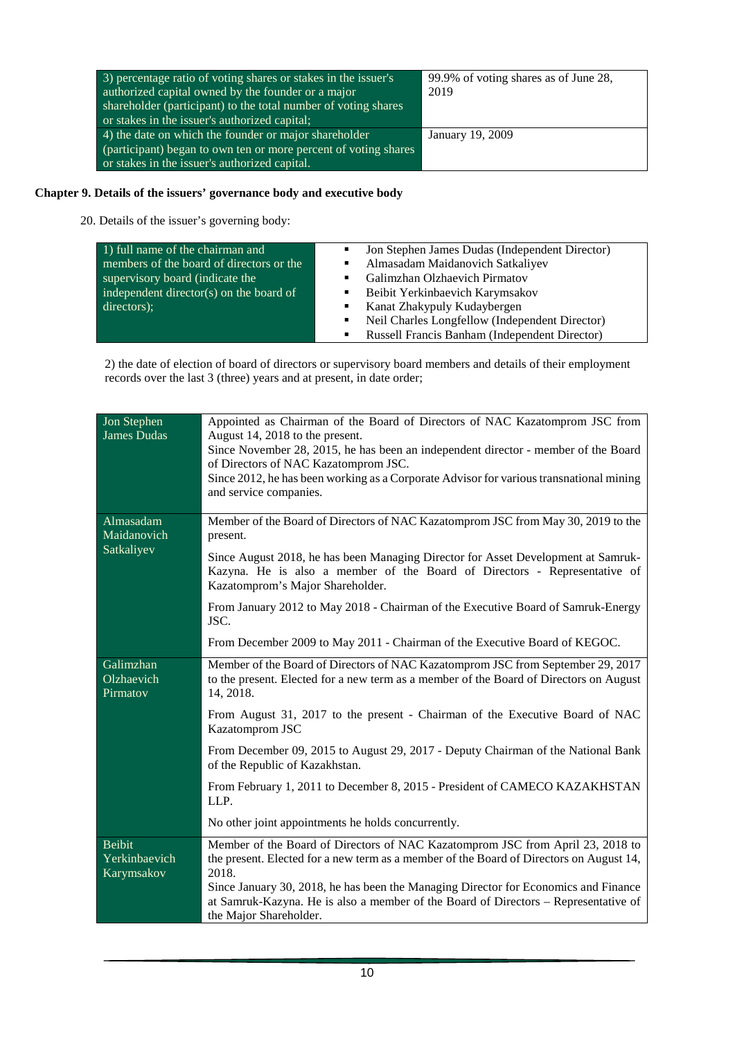| 3) percentage ratio of voting shares or stakes in the issuer's  | 99.9% of voting shares as of June 28, |
|-----------------------------------------------------------------|---------------------------------------|
| authorized capital owned by the founder or a major              | 2019                                  |
| shareholder (participant) to the total number of voting shares  |                                       |
| or stakes in the issuer's authorized capital;                   |                                       |
| 4) the date on which the founder or major shareholder           | January 19, 2009                      |
| (participant) began to own ten or more percent of voting shares |                                       |
| or stakes in the issuer's authorized capital.                   |                                       |

# **Chapter 9. Details of the issuers' governance body and executive body**

20. Details of the issuer's governing body:

| 1) full name of the chairman and         | Jon Stephen James Dudas (Independent Director)      |
|------------------------------------------|-----------------------------------------------------|
| members of the board of directors or the | Almasadam Maidanovich Satkaliyev                    |
| supervisory board (indicate the          | Galimzhan Olzhaevich Pirmatov                       |
| independent director(s) on the board of  | Beibit Yerkinbaevich Karymsakov                     |
| directors);                              | Kanat Zhakypuly Kudaybergen<br>٠                    |
|                                          | Neil Charles Longfellow (Independent Director)<br>٠ |
|                                          | Russell Francis Banham (Independent Director)       |

2) the date of election of board of directors or supervisory board members and details of their employment records over the last 3 (three) years and at present, in date order;

| Jon Stephen<br><b>James Dudas</b>            | Appointed as Chairman of the Board of Directors of NAC Kazatomprom JSC from<br>August 14, 2018 to the present.<br>Since November 28, 2015, he has been an independent director - member of the Board<br>of Directors of NAC Kazatomprom JSC.<br>Since 2012, he has been working as a Corporate Advisor for various transnational mining<br>and service companies.                          |
|----------------------------------------------|--------------------------------------------------------------------------------------------------------------------------------------------------------------------------------------------------------------------------------------------------------------------------------------------------------------------------------------------------------------------------------------------|
| Almasadam<br>Maidanovich<br>Satkaliyev       | Member of the Board of Directors of NAC Kazatomprom JSC from May 30, 2019 to the<br>present.                                                                                                                                                                                                                                                                                               |
|                                              | Since August 2018, he has been Managing Director for Asset Development at Samruk-<br>Kazyna. He is also a member of the Board of Directors - Representative of<br>Kazatomprom's Major Shareholder.                                                                                                                                                                                         |
|                                              | From January 2012 to May 2018 - Chairman of the Executive Board of Samruk-Energy<br>JSC.                                                                                                                                                                                                                                                                                                   |
|                                              | From December 2009 to May 2011 - Chairman of the Executive Board of KEGOC.                                                                                                                                                                                                                                                                                                                 |
| Galimzhan<br>Olzhaevich<br>Pirmatov          | Member of the Board of Directors of NAC Kazatomprom JSC from September 29, 2017<br>to the present. Elected for a new term as a member of the Board of Directors on August<br>14, 2018.                                                                                                                                                                                                     |
|                                              | From August 31, 2017 to the present - Chairman of the Executive Board of NAC<br>Kazatomprom JSC                                                                                                                                                                                                                                                                                            |
|                                              | From December 09, 2015 to August 29, 2017 - Deputy Chairman of the National Bank<br>of the Republic of Kazakhstan.                                                                                                                                                                                                                                                                         |
|                                              | From February 1, 2011 to December 8, 2015 - President of CAMECO KAZAKHSTAN<br>LLP.                                                                                                                                                                                                                                                                                                         |
|                                              | No other joint appointments he holds concurrently.                                                                                                                                                                                                                                                                                                                                         |
| <b>Beibit</b><br>Yerkinbaevich<br>Karymsakov | Member of the Board of Directors of NAC Kazatomprom JSC from April 23, 2018 to<br>the present. Elected for a new term as a member of the Board of Directors on August 14,<br>2018.<br>Since January 30, 2018, he has been the Managing Director for Economics and Finance<br>at Samruk-Kazyna. He is also a member of the Board of Directors – Representative of<br>the Major Shareholder. |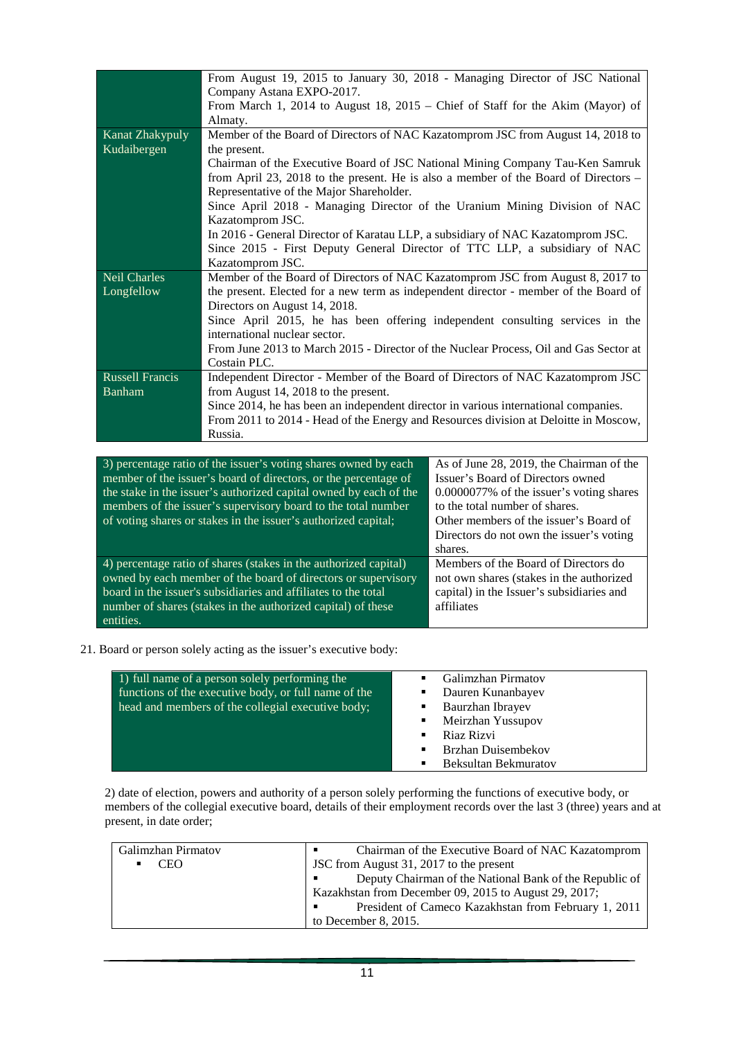|                                                                                                                  | From August 19, 2015 to January 30, 2018 - Managing Director of JSC National          |                                          |  |
|------------------------------------------------------------------------------------------------------------------|---------------------------------------------------------------------------------------|------------------------------------------|--|
|                                                                                                                  | Company Astana EXPO-2017.                                                             |                                          |  |
|                                                                                                                  | From March 1, 2014 to August 18, $2015$ – Chief of Staff for the Akim (Mayor) of      |                                          |  |
|                                                                                                                  | Almaty.                                                                               |                                          |  |
| Kanat Zhakypuly                                                                                                  | Member of the Board of Directors of NAC Kazatomprom JSC from August 14, 2018 to       |                                          |  |
| Kudaibergen                                                                                                      | the present.                                                                          |                                          |  |
|                                                                                                                  | Chairman of the Executive Board of JSC National Mining Company Tau-Ken Samruk         |                                          |  |
|                                                                                                                  | from April 23, 2018 to the present. He is also a member of the Board of Directors –   |                                          |  |
|                                                                                                                  | Representative of the Major Shareholder.                                              |                                          |  |
|                                                                                                                  | Since April 2018 - Managing Director of the Uranium Mining Division of NAC            |                                          |  |
|                                                                                                                  | Kazatomprom JSC.                                                                      |                                          |  |
|                                                                                                                  | In 2016 - General Director of Karatau LLP, a subsidiary of NAC Kazatomprom JSC.       |                                          |  |
|                                                                                                                  | Since 2015 - First Deputy General Director of TTC LLP, a subsidiary of NAC            |                                          |  |
|                                                                                                                  | Kazatomprom JSC.                                                                      |                                          |  |
| <b>Neil Charles</b>                                                                                              | Member of the Board of Directors of NAC Kazatomprom JSC from August 8, 2017 to        |                                          |  |
| Longfellow                                                                                                       | the present. Elected for a new term as independent director - member of the Board of  |                                          |  |
|                                                                                                                  | Directors on August 14, 2018.                                                         |                                          |  |
|                                                                                                                  | Since April 2015, he has been offering independent consulting services in the         |                                          |  |
|                                                                                                                  | international nuclear sector.                                                         |                                          |  |
|                                                                                                                  | From June 2013 to March 2015 - Director of the Nuclear Process, Oil and Gas Sector at |                                          |  |
|                                                                                                                  | Costain PLC.                                                                          |                                          |  |
| Russell Francis                                                                                                  | Independent Director - Member of the Board of Directors of NAC Kazatomprom JSC        |                                          |  |
| <b>Banham</b>                                                                                                    | from August 14, 2018 to the present.                                                  |                                          |  |
|                                                                                                                  | Since 2014, he has been an independent director in various international companies.   |                                          |  |
|                                                                                                                  | From 2011 to 2014 - Head of the Energy and Resources division at Deloitte in Moscow,  |                                          |  |
|                                                                                                                  | Russia.                                                                               |                                          |  |
|                                                                                                                  |                                                                                       |                                          |  |
|                                                                                                                  | 3) percentage ratio of the issuer's voting shares owned by each                       | As of June 28, 2019, the Chairman of the |  |
|                                                                                                                  | member of the issuer's board of directors, or the percentage of                       | Issuer's Board of Directors owned        |  |
| the stake in the issuer's authorized capital owned by each of the<br>$0.0000077\%$ of the issuer's voting shares |                                                                                       |                                          |  |

| 3) percentage ratio of the issuer's voting shares owned by each   | As of June 28, 2019, the Chairman of the  |
|-------------------------------------------------------------------|-------------------------------------------|
| member of the issuer's board of directors, or the percentage of   | Issuer's Board of Directors owned         |
| the stake in the issuer's authorized capital owned by each of the | 0.0000077% of the issuer's voting shares  |
| members of the issuer's supervisory board to the total number     | to the total number of shares.            |
| of voting shares or stakes in the issuer's authorized capital;    | Other members of the issuer's Board of    |
|                                                                   | Directors do not own the issuer's voting  |
|                                                                   |                                           |
|                                                                   | shares.                                   |
| 4) percentage ratio of shares (stakes in the authorized capital)  | Members of the Board of Directors do      |
| owned by each member of the board of directors or supervisory     | not own shares (stakes in the authorized  |
| board in the issuer's subsidiaries and affiliates to the total    | capital) in the Issuer's subsidiaries and |
| number of shares (stakes in the authorized capital) of these      | affiliates                                |
| entities.                                                         |                                           |

21. Board or person solely acting as the issuer's executive body:

| 1) full name of a person solely performing the<br>functions of the executive body, or full name of the<br>head and members of the collegial executive body; | <b>Galimzhan Pirmatov</b><br>Dauren Kunanbayev<br>٠<br>Baurzhan Ibrayev<br>٠ |
|-------------------------------------------------------------------------------------------------------------------------------------------------------------|------------------------------------------------------------------------------|
|                                                                                                                                                             | Meirzhan Yussupov<br>$\blacksquare$                                          |
|                                                                                                                                                             | Riaz Rizvi<br>$\blacksquare$                                                 |
|                                                                                                                                                             | Brzhan Duisembekov<br>$\blacksquare$                                         |
|                                                                                                                                                             | <b>Beksultan Bekmuratov</b><br>٠                                             |

2) date of election, powers and authority of a person solely performing the functions of executive body, or members of the collegial executive board, details of their employment records over the last 3 (three) years and at present, in date order;

| Galimzhan Pirmatov | Chairman of the Executive Board of NAC Kazatomprom<br>٠   |
|--------------------|-----------------------------------------------------------|
| <b>CEO</b>         | JSC from August 31, 2017 to the present                   |
|                    | Deputy Chairman of the National Bank of the Republic of   |
|                    | Kazakhstan from December 09, 2015 to August 29, 2017;     |
|                    | President of Cameco Kazakhstan from February 1, 2011<br>п |
|                    | to December 8, $2015$ .                                   |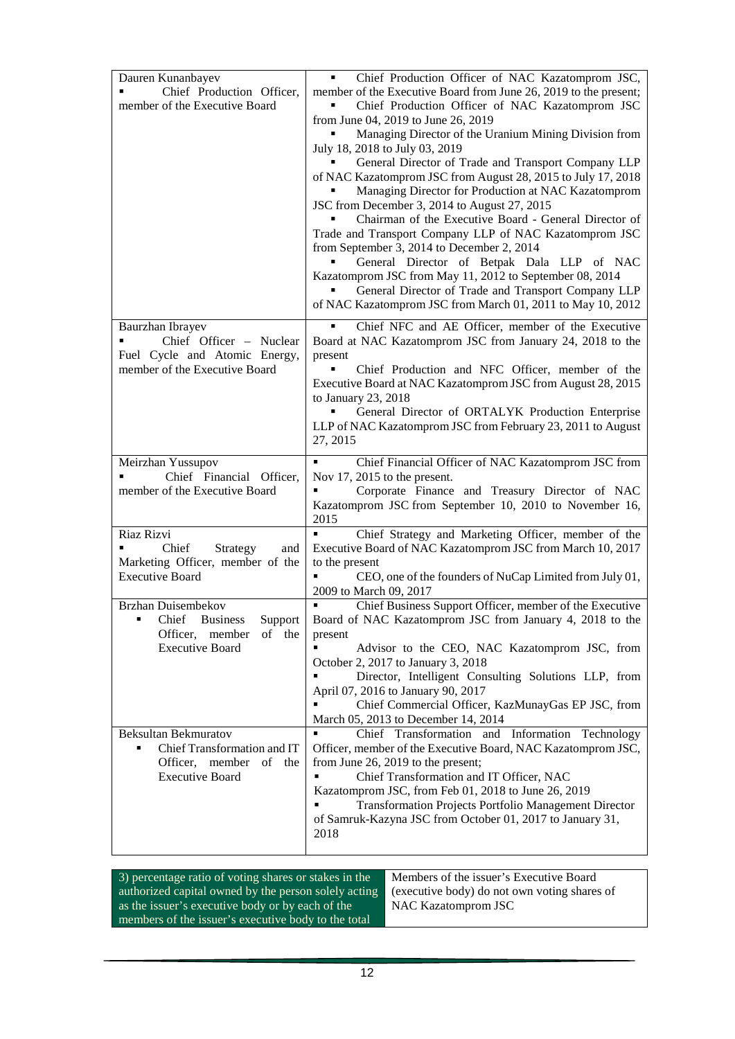| Dauren Kunanbayev                                                                                | Chief Production Officer of NAC Kazatomprom JSC,                                                     |  |
|--------------------------------------------------------------------------------------------------|------------------------------------------------------------------------------------------------------|--|
| Chief Production Officer,                                                                        | member of the Executive Board from June 26, 2019 to the present;                                     |  |
| member of the Executive Board                                                                    | Chief Production Officer of NAC Kazatomprom JSC                                                      |  |
|                                                                                                  | from June 04, 2019 to June 26, 2019                                                                  |  |
|                                                                                                  | Managing Director of the Uranium Mining Division from                                                |  |
|                                                                                                  | July 18, 2018 to July 03, 2019<br>General Director of Trade and Transport Company LLP                |  |
|                                                                                                  | of NAC Kazatomprom JSC from August 28, 2015 to July 17, 2018                                         |  |
|                                                                                                  | Managing Director for Production at NAC Kazatomprom                                                  |  |
|                                                                                                  | JSC from December 3, 2014 to August 27, 2015                                                         |  |
|                                                                                                  | Chairman of the Executive Board - General Director of                                                |  |
|                                                                                                  | Trade and Transport Company LLP of NAC Kazatomprom JSC<br>from September 3, 2014 to December 2, 2014 |  |
|                                                                                                  | General Director of Betpak Dala LLP of NAC                                                           |  |
|                                                                                                  | Kazatomprom JSC from May 11, 2012 to September 08, 2014                                              |  |
|                                                                                                  | General Director of Trade and Transport Company LLP                                                  |  |
|                                                                                                  | of NAC Kazatomprom JSC from March 01, 2011 to May 10, 2012                                           |  |
| Baurzhan Ibrayev                                                                                 | Chief NFC and AE Officer, member of the Executive                                                    |  |
| Chief Officer - Nuclear                                                                          | Board at NAC Kazatomprom JSC from January 24, 2018 to the                                            |  |
| Fuel Cycle and Atomic Energy,<br>member of the Executive Board                                   | present<br>Chief Production and NFC Officer, member of the                                           |  |
|                                                                                                  | Executive Board at NAC Kazatomprom JSC from August 28, 2015                                          |  |
|                                                                                                  | to January 23, 2018                                                                                  |  |
|                                                                                                  | General Director of ORTALYK Production Enterprise                                                    |  |
|                                                                                                  | LLP of NAC Kazatomprom JSC from February 23, 2011 to August<br>27, 2015                              |  |
|                                                                                                  |                                                                                                      |  |
| Meirzhan Yussupov<br>Chief Financial Officer,                                                    | Chief Financial Officer of NAC Kazatomprom JSC from<br>٠                                             |  |
| member of the Executive Board                                                                    | Nov 17, 2015 to the present.<br>Corporate Finance and Treasury Director of NAC                       |  |
|                                                                                                  | Kazatomprom JSC from September 10, 2010 to November 16,                                              |  |
|                                                                                                  | 2015                                                                                                 |  |
| Riaz Rizvi                                                                                       | Chief Strategy and Marketing Officer, member of the<br>٠                                             |  |
| Chief<br>Strategy<br>and<br>Marketing Officer, member of the                                     | Executive Board of NAC Kazatomprom JSC from March 10, 2017<br>to the present                         |  |
| <b>Executive Board</b>                                                                           | CEO, one of the founders of NuCap Limited from July 01,                                              |  |
|                                                                                                  | 2009 to March 09, 2017                                                                               |  |
| Brzhan Duisembekov                                                                               | Chief Business Support Officer, member of the Executive                                              |  |
| • Chief Business<br>Support<br>Officer, member<br>of the                                         | Board of NAC Kazatomprom JSC from January 4, 2018 to the                                             |  |
| <b>Executive Board</b>                                                                           | present<br>Advisor to the CEO, NAC Kazatomprom JSC, from                                             |  |
|                                                                                                  | October 2, 2017 to January 3, 2018                                                                   |  |
|                                                                                                  | Director, Intelligent Consulting Solutions LLP, from                                                 |  |
|                                                                                                  | April 07, 2016 to January 90, 2017<br>Chief Commercial Officer, KazMunayGas EP JSC, from             |  |
|                                                                                                  | March 05, 2013 to December 14, 2014                                                                  |  |
| Beksultan Bekmuratov                                                                             | Chief Transformation and Information Technology                                                      |  |
| Chief Transformation and IT                                                                      | Officer, member of the Executive Board, NAC Kazatomprom JSC,                                         |  |
| Officer, member<br>of the                                                                        | from June 26, 2019 to the present;                                                                   |  |
| <b>Executive Board</b>                                                                           | Chief Transformation and IT Officer, NAC<br>Kazatomprom JSC, from Feb 01, 2018 to June 26, 2019      |  |
|                                                                                                  | Transformation Projects Portfolio Management Director                                                |  |
|                                                                                                  | of Samruk-Kazyna JSC from October 01, 2017 to January 31,                                            |  |
|                                                                                                  | 2018                                                                                                 |  |
|                                                                                                  |                                                                                                      |  |
| Members of the issuer's Executive Board<br>3) percentage ratio of voting shares or stakes in the |                                                                                                      |  |
| authorized capital owned by the person solely acting                                             | (executive body) do not own voting shares of                                                         |  |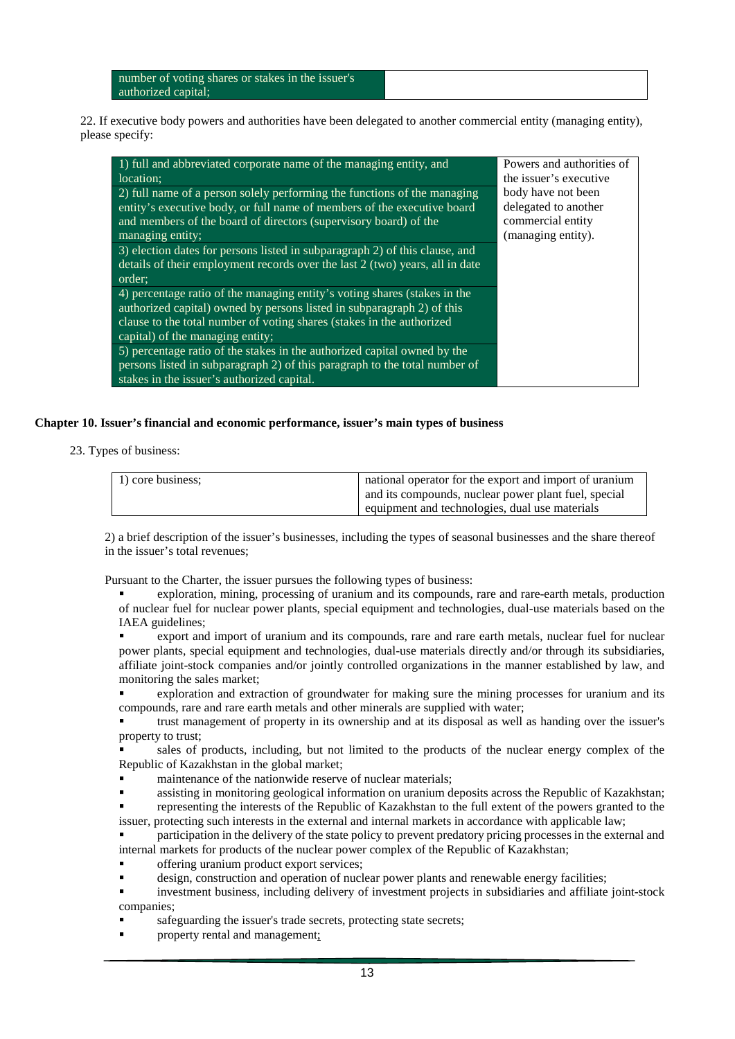number of voting shares or stakes in the issuer's authorized capital;

22. If executive body powers and authorities have been delegated to another commercial entity (managing entity), please specify:

| 1) full and abbreviated corporate name of the managing entity, and           | Powers and authorities of |
|------------------------------------------------------------------------------|---------------------------|
| location;                                                                    | the issuer's executive    |
| 2) full name of a person solely performing the functions of the managing     | body have not been        |
| entity's executive body, or full name of members of the executive board      | delegated to another      |
| and members of the board of directors (supervisory board) of the             | commercial entity         |
| managing entity;                                                             | (managing entity).        |
| 3) election dates for persons listed in subparagraph 2) of this clause, and  |                           |
| details of their employment records over the last 2 (two) years, all in date |                           |
| order;                                                                       |                           |
| 4) percentage ratio of the managing entity's voting shares (stakes in the    |                           |
| authorized capital) owned by persons listed in subparagraph 2) of this       |                           |
| clause to the total number of voting shares (stakes in the authorized        |                           |
| capital) of the managing entity;                                             |                           |
| 5) percentage ratio of the stakes in the authorized capital owned by the     |                           |
| persons listed in subparagraph 2) of this paragraph to the total number of   |                           |
| stakes in the issuer's authorized capital.                                   |                           |

## **Chapter 10. Issuer's financial and economic performance, issuer's main types of business**

23. Types of business:

| 1) core business: | national operator for the export and import of uranium |
|-------------------|--------------------------------------------------------|
|                   | and its compounds, nuclear power plant fuel, special   |
|                   |                                                        |
|                   | equipment and technologies, dual use materials         |

2) a brief description of the issuer's businesses, including the types of seasonal businesses and the share thereof in the issuer's total revenues;

Pursuant to the Charter, the issuer pursues the following types of business:

 exploration, mining, processing of uranium and its compounds, rare and rare-earth metals, production of nuclear fuel for nuclear power plants, special equipment and technologies, dual-use materials based on the IAEA guidelines;

 export and import of uranium and its compounds, rare and rare earth metals, nuclear fuel for nuclear power plants, special equipment and technologies, dual-use materials directly and/or through its subsidiaries, affiliate joint-stock companies and/or jointly controlled organizations in the manner established by law, and monitoring the sales market;

 exploration and extraction of groundwater for making sure the mining processes for uranium and its compounds, rare and rare earth metals and other minerals are supplied with water;

 trust management of property in its ownership and at its disposal as well as handing over the issuer's property to trust;

 sales of products, including, but not limited to the products of the nuclear energy complex of the Republic of Kazakhstan in the global market;

maintenance of the nationwide reserve of nuclear materials;

 assisting in monitoring geological information on uranium deposits across the Republic of Kazakhstan; representing the interests of the Republic of Kazakhstan to the full extent of the powers granted to the

issuer, protecting such interests in the external and internal markets in accordance with applicable law; participation in the delivery of the state policy to prevent predatory pricing processes in the external and

internal markets for products of the nuclear power complex of the Republic of Kazakhstan;

- offering uranium product export services;
- design, construction and operation of nuclear power plants and renewable energy facilities;

 investment business, including delivery of investment projects in subsidiaries and affiliate joint-stock companies;

- safeguarding the issuer's trade secrets, protecting state secrets;
- property rental and management;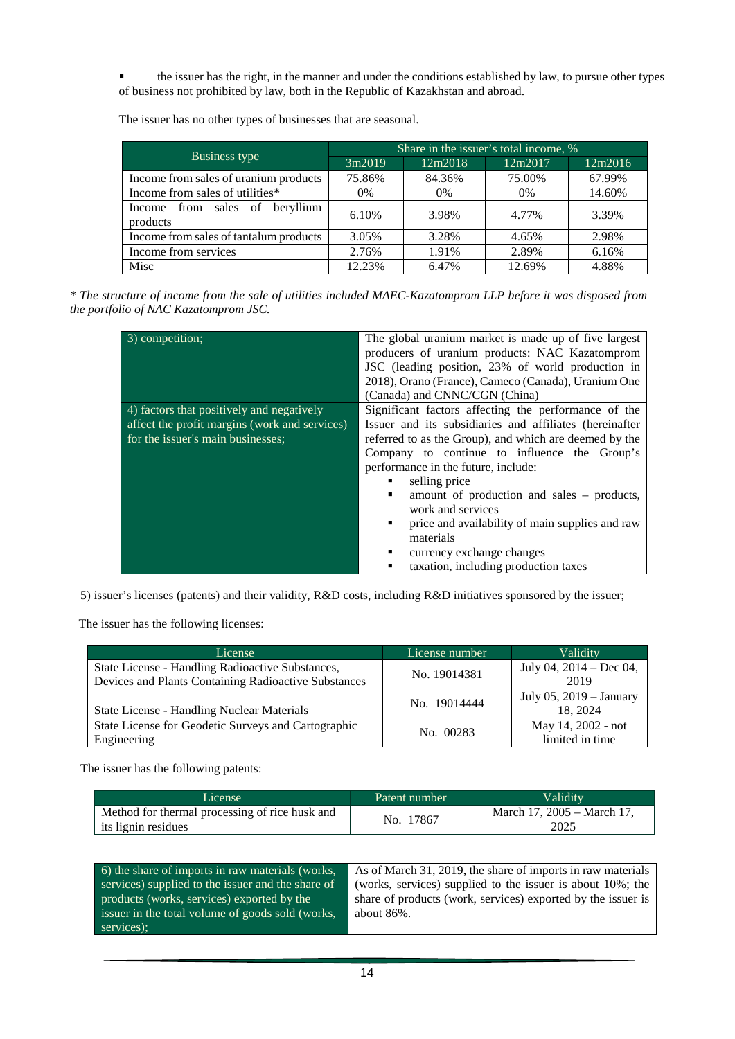the issuer has the right, in the manner and under the conditions established by law, to pursue other types of business not prohibited by law, both in the Republic of Kazakhstan and abroad.

The issuer has no other types of businesses that are seasonal.

|                                            | Share in the issuer's total income, % |         |         |         |
|--------------------------------------------|---------------------------------------|---------|---------|---------|
| Business type                              | 3m2019                                | 12m2018 | 12m2017 | 12m2016 |
| Income from sales of uranium products      | 75.86%                                | 84.36%  | 75.00%  | 67.99%  |
| Income from sales of utilities*            | 0%                                    | $0\%$   | $0\%$   | 14.60%  |
| Income from sales of beryllium<br>products | 6.10%                                 | 3.98%   | 4.77%   | 3.39%   |
| Income from sales of tantalum products     | 3.05%                                 | 3.28%   | 4.65%   | 2.98%   |
| Income from services                       | 2.76%                                 | 1.91%   | 2.89%   | 6.16%   |
| Misc                                       | 12.23%                                | 6.47%   | 12.69%  | 4.88%   |

*\* The structure of income from the sale of utilities included MAEC-Kazatomprom LLP before it was disposed from the portfolio of NAC Kazatomprom JSC.*

| 3) competition;                               | The global uranium market is made up of five largest<br>producers of uranium products: NAC Kazatomprom<br>JSC (leading position, 23% of world production in<br>2018), Orano (France), Cameco (Canada), Uranium One<br>(Canada) and CNNC/CGN (China) |  |
|-----------------------------------------------|-----------------------------------------------------------------------------------------------------------------------------------------------------------------------------------------------------------------------------------------------------|--|
| 4) factors that positively and negatively     | Significant factors affecting the performance of the                                                                                                                                                                                                |  |
| affect the profit margins (work and services) | Issuer and its subsidiaries and affiliates (hereinafter                                                                                                                                                                                             |  |
| for the issuer's main businesses;             | referred to as the Group), and which are deemed by the                                                                                                                                                                                              |  |
|                                               | Company to continue to influence the Group's                                                                                                                                                                                                        |  |
|                                               | performance in the future, include:                                                                                                                                                                                                                 |  |
|                                               | selling price<br>٠                                                                                                                                                                                                                                  |  |
|                                               | amount of production and sales – products,<br>٠                                                                                                                                                                                                     |  |
|                                               | work and services                                                                                                                                                                                                                                   |  |
|                                               | price and availability of main supplies and raw<br>٠                                                                                                                                                                                                |  |
|                                               | materials                                                                                                                                                                                                                                           |  |
|                                               | currency exchange changes<br>٠                                                                                                                                                                                                                      |  |
|                                               | taxation, including production taxes<br>٠                                                                                                                                                                                                           |  |

5) issuer's licenses (patents) and their validity, R&D costs, including R&D initiatives sponsored by the issuer;

The issuer has the following licenses:

| License                                                                                                  | License number | Validity                              |
|----------------------------------------------------------------------------------------------------------|----------------|---------------------------------------|
| State License - Handling Radioactive Substances,<br>Devices and Plants Containing Radioactive Substances | No. 19014381   | July 04, 2014 – Dec 04,<br>2019       |
| <b>State License - Handling Nuclear Materials</b>                                                        | No. 19014444   | July 05, 2019 – January<br>18, 2024   |
| State License for Geodetic Surveys and Cartographic<br>Engineering                                       | No. 00283      | May 14, 2002 - not<br>limited in time |

The issuer has the following patents:

| License                                                               | Patent number | Validity                           |
|-----------------------------------------------------------------------|---------------|------------------------------------|
| Method for thermal processing of rice husk and<br>its lignin residues | No. 17867     | March 17, 2005 – March 17.<br>2025 |

| 6) the share of imports in raw materials (works,  | As of March 31, 2019, the share of imports in raw materials  |
|---------------------------------------------------|--------------------------------------------------------------|
| services) supplied to the issuer and the share of | (works, services) supplied to the issuer is about 10%; the   |
| products (works, services) exported by the        | share of products (work, services) exported by the issuer is |
| issuer in the total volume of goods sold (works,  | about $86\%$ .                                               |
| services);                                        |                                                              |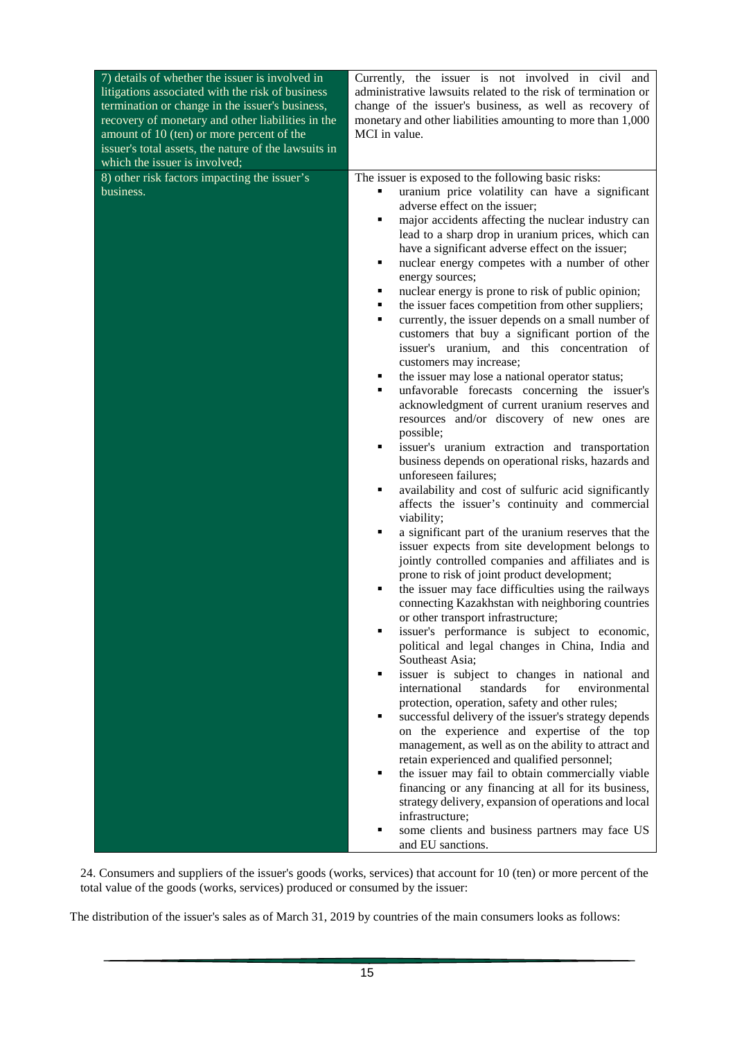| 7) details of whether the issuer is involved in<br>litigations associated with the risk of business<br>termination or change in the issuer's business,<br>recovery of monetary and other liabilities in the<br>amount of 10 (ten) or more percent of the<br>issuer's total assets, the nature of the lawsuits in<br>which the issuer is involved; | Currently, the issuer is not involved in civil and<br>administrative lawsuits related to the risk of termination or<br>change of the issuer's business, as well as recovery of<br>monetary and other liabilities amounting to more than 1,000<br>MCI in value.                                                                                                                                                                                                                                                                                                                                                                                                                                                                                                                                                                                                                                                                                                                                                                                                                                                                                                                                                                                                                                                                                                                                                                                                                                                                                                                                                                                                                                                                                                                                                                                                                                                                                                                                                                                                        |
|---------------------------------------------------------------------------------------------------------------------------------------------------------------------------------------------------------------------------------------------------------------------------------------------------------------------------------------------------|-----------------------------------------------------------------------------------------------------------------------------------------------------------------------------------------------------------------------------------------------------------------------------------------------------------------------------------------------------------------------------------------------------------------------------------------------------------------------------------------------------------------------------------------------------------------------------------------------------------------------------------------------------------------------------------------------------------------------------------------------------------------------------------------------------------------------------------------------------------------------------------------------------------------------------------------------------------------------------------------------------------------------------------------------------------------------------------------------------------------------------------------------------------------------------------------------------------------------------------------------------------------------------------------------------------------------------------------------------------------------------------------------------------------------------------------------------------------------------------------------------------------------------------------------------------------------------------------------------------------------------------------------------------------------------------------------------------------------------------------------------------------------------------------------------------------------------------------------------------------------------------------------------------------------------------------------------------------------------------------------------------------------------------------------------------------------|
| 8) other risk factors impacting the issuer's<br>business.                                                                                                                                                                                                                                                                                         | The issuer is exposed to the following basic risks:<br>uranium price volatility can have a significant<br>adverse effect on the issuer;<br>major accidents affecting the nuclear industry can<br>٠<br>lead to a sharp drop in uranium prices, which can<br>have a significant adverse effect on the issuer;<br>nuclear energy competes with a number of other<br>٠<br>energy sources;<br>nuclear energy is prone to risk of public opinion;<br>٠<br>the issuer faces competition from other suppliers;<br>٠<br>currently, the issuer depends on a small number of<br>٠<br>customers that buy a significant portion of the<br>issuer's uranium, and this concentration of<br>customers may increase;<br>the issuer may lose a national operator status;<br>٠<br>unfavorable forecasts concerning the issuer's<br>٠<br>acknowledgment of current uranium reserves and<br>resources and/or discovery of new ones are<br>possible;<br>issuer's uranium extraction and transportation<br>٠<br>business depends on operational risks, hazards and<br>unforeseen failures;<br>availability and cost of sulfuric acid significantly<br>٠<br>affects the issuer's continuity and commercial<br>viability;<br>a significant part of the uranium reserves that the<br>٠<br>issuer expects from site development belongs to<br>jointly controlled companies and affiliates and is<br>prone to risk of joint product development;<br>the issuer may face difficulties using the railways<br>٠<br>connecting Kazakhstan with neighboring countries<br>or other transport infrastructure;<br>issuer's performance is subject to economic,<br>political and legal changes in China, India and<br>Southeast Asia;<br>issuer is subject to changes in national and<br>international<br>standards<br>for<br>environmental<br>protection, operation, safety and other rules;<br>successful delivery of the issuer's strategy depends<br>on the experience and expertise of the top<br>management, as well as on the ability to attract and<br>retain experienced and qualified personnel; |
|                                                                                                                                                                                                                                                                                                                                                   | the issuer may fail to obtain commercially viable<br>٠<br>financing or any financing at all for its business,<br>strategy delivery, expansion of operations and local<br>infrastructure;<br>some clients and business partners may face US<br>and EU sanctions.                                                                                                                                                                                                                                                                                                                                                                                                                                                                                                                                                                                                                                                                                                                                                                                                                                                                                                                                                                                                                                                                                                                                                                                                                                                                                                                                                                                                                                                                                                                                                                                                                                                                                                                                                                                                       |

24. Consumers and suppliers of the issuer's goods (works, services) that account for 10 (ten) or more percent of the total value of the goods (works, services) produced or consumed by the issuer:

The distribution of the issuer's sales as of March 31, 2019 by countries of the main consumers looks as follows: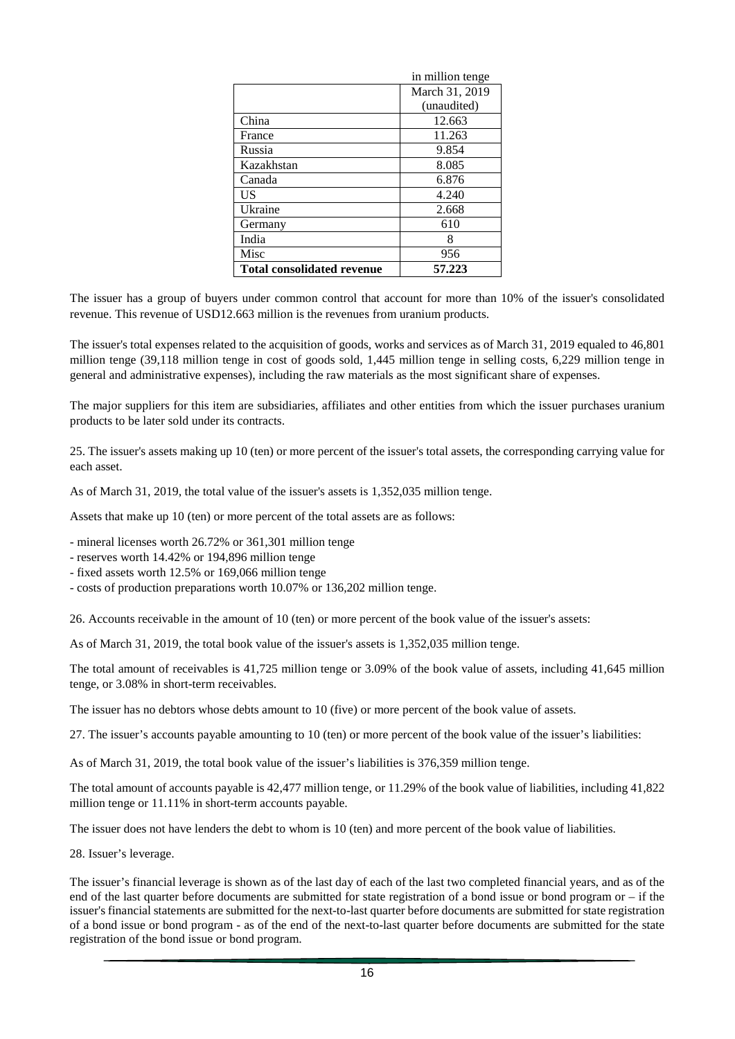|                                   | in million tenge |
|-----------------------------------|------------------|
|                                   | March 31, 2019   |
|                                   | (unaudited)      |
| China                             | 12.663           |
| France                            | 11.263           |
| Russia                            | 9.854            |
| Kazakhstan                        | 8.085            |
| Canada                            | 6.876            |
| US                                | 4.240            |
| Ukraine                           | 2.668            |
| Germany                           | 610              |
| India                             | 8                |
| Misc                              | 956              |
| <b>Total consolidated revenue</b> | 57.223           |

The issuer has a group of buyers under common control that account for more than 10% of the issuer's consolidated revenue. This revenue of USD12.663 million is the revenues from uranium products.

The issuer's total expenses related to the acquisition of goods, works and services as of March 31, 2019 equaled to 46,801 million tenge (39,118 million tenge in cost of goods sold, 1,445 million tenge in selling costs, 6,229 million tenge in general and administrative expenses), including the raw materials as the most significant share of expenses.

The major suppliers for this item are subsidiaries, affiliates and other entities from which the issuer purchases uranium products to be later sold under its contracts.

25. The issuer's assets making up 10 (ten) or more percent of the issuer's total assets, the corresponding carrying value for each asset.

As of March 31, 2019, the total value of the issuer's assets is 1,352,035 million tenge.

Assets that make up 10 (ten) or more percent of the total assets are as follows:

- mineral licenses worth 26.72% or 361,301 million tenge

- reserves worth 14.42% or 194,896 million tenge

- fixed assets worth 12.5% or 169,066 million tenge

- costs of production preparations worth 10.07% or 136,202 million tenge.

26. Accounts receivable in the amount of 10 (ten) or more percent of the book value of the issuer's assets:

As of March 31, 2019, the total book value of the issuer's assets is 1,352,035 million tenge.

The total amount of receivables is 41,725 million tenge or 3.09% of the book value of assets, including 41,645 million tenge, or 3.08% in short-term receivables.

The issuer has no debtors whose debts amount to 10 (five) or more percent of the book value of assets.

27. The issuer's accounts payable amounting to 10 (ten) or more percent of the book value of the issuer's liabilities:

As of March 31, 2019, the total book value of the issuer's liabilities is 376,359 million tenge.

The total amount of accounts payable is 42,477 million tenge, or 11.29% of the book value of liabilities, including 41,822 million tenge or 11.11% in short-term accounts payable.

The issuer does not have lenders the debt to whom is 10 (ten) and more percent of the book value of liabilities.

28. Issuer's leverage.

The issuer's financial leverage is shown as of the last day of each of the last two completed financial years, and as of the end of the last quarter before documents are submitted for state registration of a bond issue or bond program or – if the issuer's financial statements are submitted for the next-to-last quarter before documents are submitted for state registration of a bond issue or bond program - as of the end of the next-to-last quarter before documents are submitted for the state registration of the bond issue or bond program.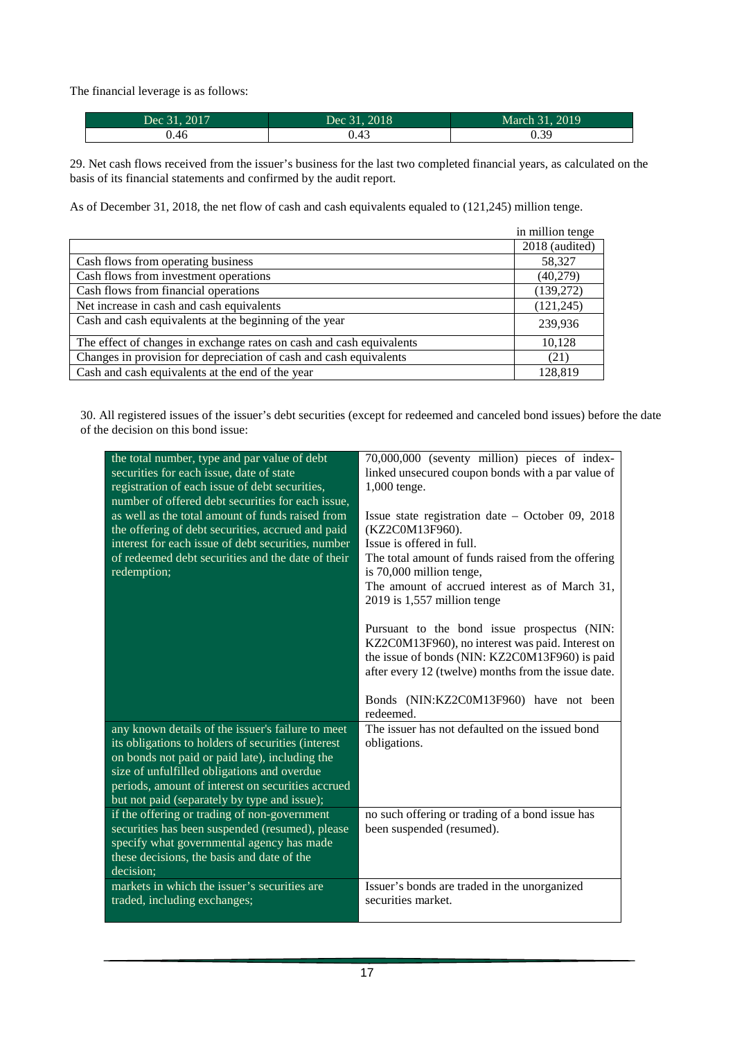The financial leverage is as follows:

| Dec 31, 2017 | Dec 31, 2018      | March 31, 2019 |
|--------------|-------------------|----------------|
| 0.46         | $\Lambda$<br>U.43 | 0.39           |

29. Net cash flows received from the issuer's business for the last two completed financial years, as calculated on the basis of its financial statements and confirmed by the audit report.

As of December 31, 2018, the net flow of cash and cash equivalents equaled to (121,245) million tenge.

|                                                                      | in million tenge |
|----------------------------------------------------------------------|------------------|
|                                                                      | 2018 (audited)   |
| Cash flows from operating business                                   | 58,327           |
| Cash flows from investment operations                                | (40,279)         |
| Cash flows from financial operations                                 | (139,272)        |
| Net increase in cash and cash equivalents                            | (121, 245)       |
| Cash and cash equivalents at the beginning of the year               | 239,936          |
| The effect of changes in exchange rates on cash and cash equivalents | 10,128           |
| Changes in provision for depreciation of cash and cash equivalents   | (21)             |
| Cash and cash equivalents at the end of the year                     | 128,819          |

30. All registered issues of the issuer's debt securities (except for redeemed and canceled bond issues) before the date of the decision on this bond issue:

| the total number, type and par value of debt<br>securities for each issue, date of state<br>registration of each issue of debt securities,<br>number of offered debt securities for each issue,<br>as well as the total amount of funds raised from<br>the offering of debt securities, accrued and paid<br>interest for each issue of debt securities, number<br>of redeemed debt securities and the date of their<br>redemption;                            | 70,000,000 (seventy million) pieces of index-<br>linked unsecured coupon bonds with a par value of<br>1,000 tenge.<br>Issue state registration date $-$ October 09, 2018<br>(KZ2C0M13F960).<br>Issue is offered in full.<br>The total amount of funds raised from the offering<br>is 70,000 million tenge,<br>The amount of accrued interest as of March 31,<br>$2019$ is 1,557 million tenge<br>Pursuant to the bond issue prospectus (NIN:<br>KZ2C0M13F960), no interest was paid. Interest on<br>the issue of bonds (NIN: KZ2C0M13F960) is paid<br>after every 12 (twelve) months from the issue date.<br>Bonds (NIN:KZ2C0M13F960) have not been |
|---------------------------------------------------------------------------------------------------------------------------------------------------------------------------------------------------------------------------------------------------------------------------------------------------------------------------------------------------------------------------------------------------------------------------------------------------------------|-----------------------------------------------------------------------------------------------------------------------------------------------------------------------------------------------------------------------------------------------------------------------------------------------------------------------------------------------------------------------------------------------------------------------------------------------------------------------------------------------------------------------------------------------------------------------------------------------------------------------------------------------------|
| any known details of the issuer's failure to meet<br>its obligations to holders of securities (interest<br>on bonds not paid or paid late), including the<br>size of unfulfilled obligations and overdue<br>periods, amount of interest on securities accrued<br>but not paid (separately by type and issue);<br>if the offering or trading of non-government<br>securities has been suspended (resumed), please<br>specify what governmental agency has made | redeemed.<br>The issuer has not defaulted on the issued bond<br>obligations.<br>no such offering or trading of a bond issue has<br>been suspended (resumed).                                                                                                                                                                                                                                                                                                                                                                                                                                                                                        |
| these decisions, the basis and date of the<br>decision;<br>markets in which the issuer's securities are<br>traded, including exchanges;                                                                                                                                                                                                                                                                                                                       | Issuer's bonds are traded in the unorganized<br>securities market.                                                                                                                                                                                                                                                                                                                                                                                                                                                                                                                                                                                  |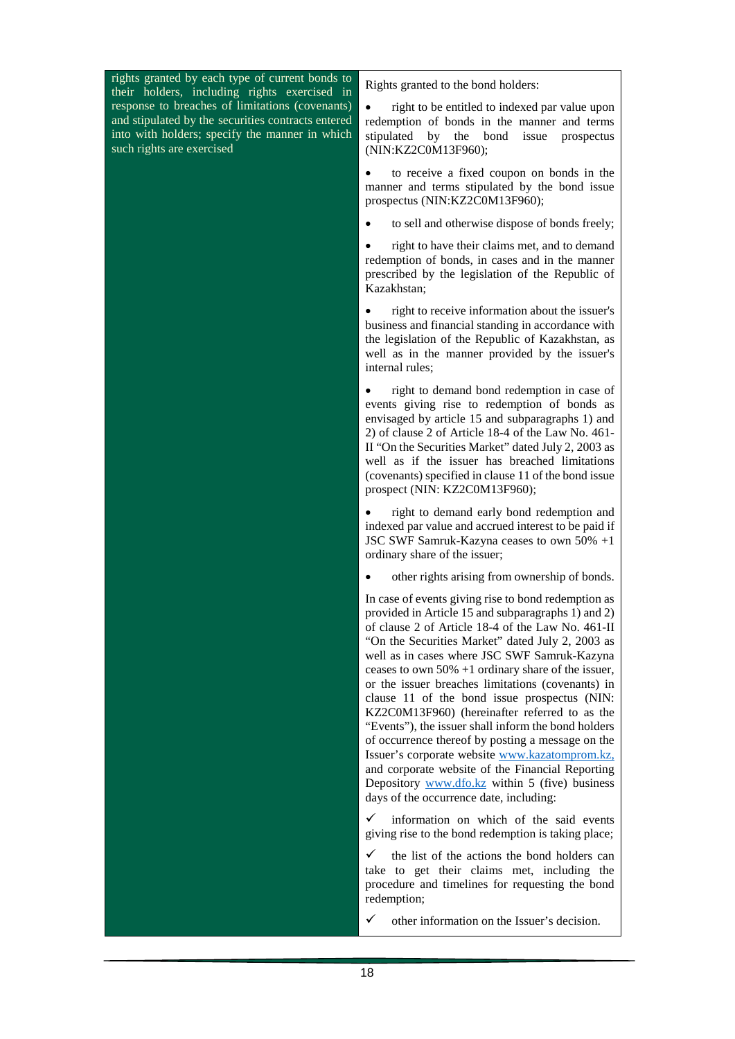rights granted by each type of current bonds to their holders, including rights exercised in response to breaches of limitations (covenants) and stipulated by the securities contracts entered into with holders; specify the manner in which such rights are exercised

Rights granted to the bond holders:

right to be entitled to indexed par value upon redemption of bonds in the manner and terms stipulated by the bond issue prospectus (NIN:KZ2C0M13F960);

• to receive a fixed coupon on bonds in the manner and terms stipulated by the bond issue prospectus (NIN:KZ2C0M13F960);

• to sell and otherwise dispose of bonds freely;

• right to have their claims met, and to demand redemption of bonds, in cases and in the manner prescribed by the legislation of the Republic of Kazakhstan;

• right to receive information about the issuer's business and financial standing in accordance with the legislation of the Republic of Kazakhstan, as well as in the manner provided by the issuer's internal rules;

• right to demand bond redemption in case of events giving rise to redemption of bonds as envisaged by article 15 and subparagraphs 1) and 2) of clause 2 of Article 18-4 of the Law No. 461- II "On the Securities Market" dated July 2, 2003 as well as if the issuer has breached limitations (covenants) specified in clause 11 of the bond issue prospect (NIN: KZ2C0M13F960);

right to demand early bond redemption and indexed par value and accrued interest to be paid if JSC SWF Samruk-Kazyna ceases to own 50% +1 ordinary share of the issuer;

• other rights arising from ownership of bonds.

In case of events giving rise to bond redemption as provided in Article 15 and subparagraphs 1) and 2) of clause 2 of Article 18-4 of the Law No. 461-II "On the Securities Market" dated July 2, 2003 as well as in cases where JSC SWF Samruk-Kazyna ceases to own 50% +1 ordinary share of the issuer, or the issuer breaches limitations (covenants) in clause 11 of the bond issue prospectus (NIN: KZ2C0M13F960) (hereinafter referred to as the "Events"), the issuer shall inform the bond holders of occurrence thereof by posting a message on the Issuer's corporate website [www.kazatomprom.kz,](http://www.kazatomprom.kz/) and corporate website of the Financial Reporting Depository [www.dfo.kz](http://www.dfo.kz/) within 5 (five) business days of the occurrence date, including:

 $\checkmark$  information on which of the said events giving rise to the bond redemption is taking place;

 $\checkmark$  the list of the actions the bond holders can take to get their claims met, including the procedure and timelines for requesting the bond redemption;

other information on the Issuer's decision.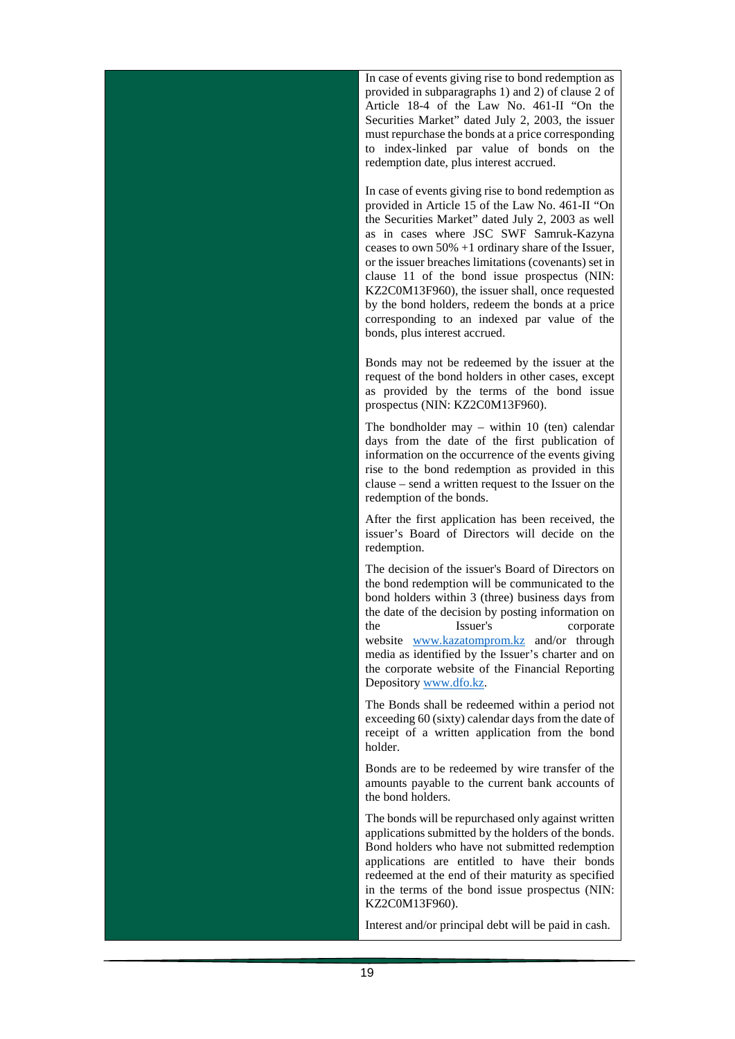In case of events giving rise to bond redemption as provided in subparagraphs 1) and 2) of clause 2 of Article 18-4 of the Law No. 461-II "On the Securities Market" dated July 2, 2003, the issuer must repurchase the bonds at a price corresponding to index-linked par value of bonds on the redemption date, plus interest accrued.

In case of events giving rise to bond redemption as provided in Article 15 of the Law No. 461-II "On the Securities Market" dated July 2, 2003 as well as in cases where JSC SWF Samruk-Kazyna ceases to own 50% +1 ordinary share of the Issuer, or the issuer breaches limitations (covenants) set in clause 11 of the bond issue prospectus (NIN: KZ2C0M13F960), the issuer shall, once requested by the bond holders, redeem the bonds at a price corresponding to an indexed par value of the bonds, plus interest accrued.

Bonds may not be redeemed by the issuer at the request of the bond holders in other cases, except as provided by the terms of the bond issue prospectus (NIN: KZ2C0M13F960).

The bondholder may – within 10 (ten) calendar days from the date of the first publication of information on the occurrence of the events giving rise to the bond redemption as provided in this clause – send a written request to the Issuer on the redemption of the bonds.

After the first application has been received, the issuer's Board of Directors will decide on the redemption.

The decision of the issuer's Board of Directors on the bond redemption will be communicated to the bond holders within 3 (three) business days from the date of the decision by posting information on the Issuer's corporate website [www.kazatomprom.kz](http://www.kazatomprom.kz/) and/or through media as identified by the Issuer's charter and on the corporate website of the Financial Reporting Depository [www.dfo.kz.](http://www.dfo.kz/)

The Bonds shall be redeemed within a period not exceeding 60 (sixty) calendar days from the date of receipt of a written application from the bond holder.

Bonds are to be redeemed by wire transfer of the amounts payable to the current bank accounts of the bond holders.

The bonds will be repurchased only against written applications submitted by the holders of the bonds. Bond holders who have not submitted redemption applications are entitled to have their bonds redeemed at the end of their maturity as specified in the terms of the bond issue prospectus (NIN: KZ2C0M13F960).

Interest and/or principal debt will be paid in cash.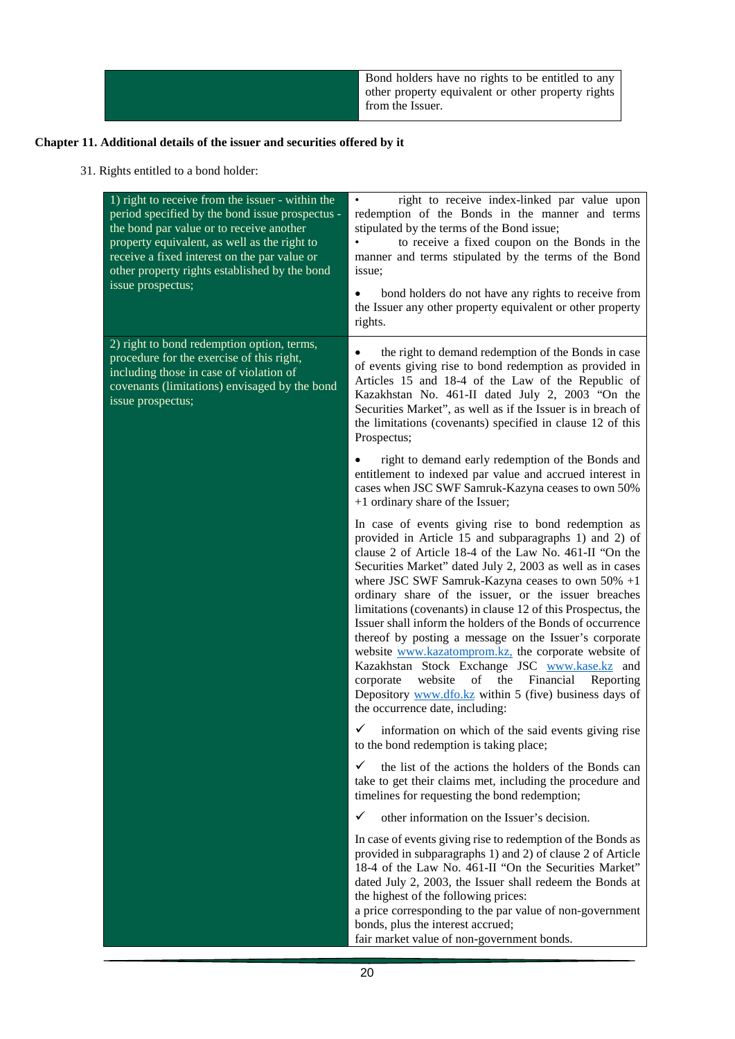Bond holders have no rights to be entitled to any other property equivalent or other property rights from the Issuer.

# **Chapter 11. Additional details of the issuer and securities offered by it**

# 31. Rights entitled to a bond holder:

| 1) right to receive from the issuer - within the<br>period specified by the bond issue prospectus -<br>the bond par value or to receive another<br>property equivalent, as well as the right to<br>receive a fixed interest on the par value or<br>other property rights established by the bond<br>issue prospectus; | right to receive index-linked par value upon<br>$\bullet$<br>redemption of the Bonds in the manner and terms<br>stipulated by the terms of the Bond issue;<br>$\bullet$<br>to receive a fixed coupon on the Bonds in the<br>manner and terms stipulated by the terms of the Bond<br>issue;<br>bond holders do not have any rights to receive from<br>$\bullet$<br>the Issuer any other property equivalent or other property<br>rights.                                                                                                                                                                                                                                                                                                                                                                         |
|-----------------------------------------------------------------------------------------------------------------------------------------------------------------------------------------------------------------------------------------------------------------------------------------------------------------------|-----------------------------------------------------------------------------------------------------------------------------------------------------------------------------------------------------------------------------------------------------------------------------------------------------------------------------------------------------------------------------------------------------------------------------------------------------------------------------------------------------------------------------------------------------------------------------------------------------------------------------------------------------------------------------------------------------------------------------------------------------------------------------------------------------------------|
| 2) right to bond redemption option, terms,<br>procedure for the exercise of this right,<br>including those in case of violation of<br>covenants (limitations) envisaged by the bond<br>issue prospectus;                                                                                                              | the right to demand redemption of the Bonds in case<br>٠<br>of events giving rise to bond redemption as provided in<br>Articles 15 and 18-4 of the Law of the Republic of<br>Kazakhstan No. 461-II dated July 2, 2003 "On the<br>Securities Market", as well as if the Issuer is in breach of<br>the limitations (covenants) specified in clause 12 of this<br>Prospectus;                                                                                                                                                                                                                                                                                                                                                                                                                                      |
|                                                                                                                                                                                                                                                                                                                       | right to demand early redemption of the Bonds and<br>٠<br>entitlement to indexed par value and accrued interest in<br>cases when JSC SWF Samruk-Kazyna ceases to own 50%<br>+1 ordinary share of the Issuer;                                                                                                                                                                                                                                                                                                                                                                                                                                                                                                                                                                                                    |
|                                                                                                                                                                                                                                                                                                                       | In case of events giving rise to bond redemption as<br>provided in Article 15 and subparagraphs 1) and 2) of<br>clause 2 of Article 18-4 of the Law No. 461-II "On the<br>Securities Market" dated July 2, 2003 as well as in cases<br>where JSC SWF Samruk-Kazyna ceases to own $50\% +1$<br>ordinary share of the issuer, or the issuer breaches<br>limitations (covenants) in clause 12 of this Prospectus, the<br>Issuer shall inform the holders of the Bonds of occurrence<br>thereof by posting a message on the Issuer's corporate<br>website www.kazatomprom.kz, the corporate website of<br>Kazakhstan Stock Exchange JSC www.kase.kz and<br>website<br>of<br>the<br>Financial<br>corporate<br>Reporting<br>Depository www.dfo.kz within 5 (five) business days of<br>the occurrence date, including: |
|                                                                                                                                                                                                                                                                                                                       | ✓<br>information on which of the said events giving rise<br>to the bond redemption is taking place;                                                                                                                                                                                                                                                                                                                                                                                                                                                                                                                                                                                                                                                                                                             |
|                                                                                                                                                                                                                                                                                                                       | ✓<br>the list of the actions the holders of the Bonds can<br>take to get their claims met, including the procedure and<br>timelines for requesting the bond redemption;                                                                                                                                                                                                                                                                                                                                                                                                                                                                                                                                                                                                                                         |
|                                                                                                                                                                                                                                                                                                                       | ✓<br>other information on the Issuer's decision.                                                                                                                                                                                                                                                                                                                                                                                                                                                                                                                                                                                                                                                                                                                                                                |
|                                                                                                                                                                                                                                                                                                                       | In case of events giving rise to redemption of the Bonds as<br>provided in subparagraphs 1) and 2) of clause 2 of Article<br>18-4 of the Law No. 461-II "On the Securities Market"<br>dated July 2, 2003, the Issuer shall redeem the Bonds at<br>the highest of the following prices:<br>a price corresponding to the par value of non-government<br>bonds, plus the interest accrued;<br>fair market value of non-government bonds.                                                                                                                                                                                                                                                                                                                                                                           |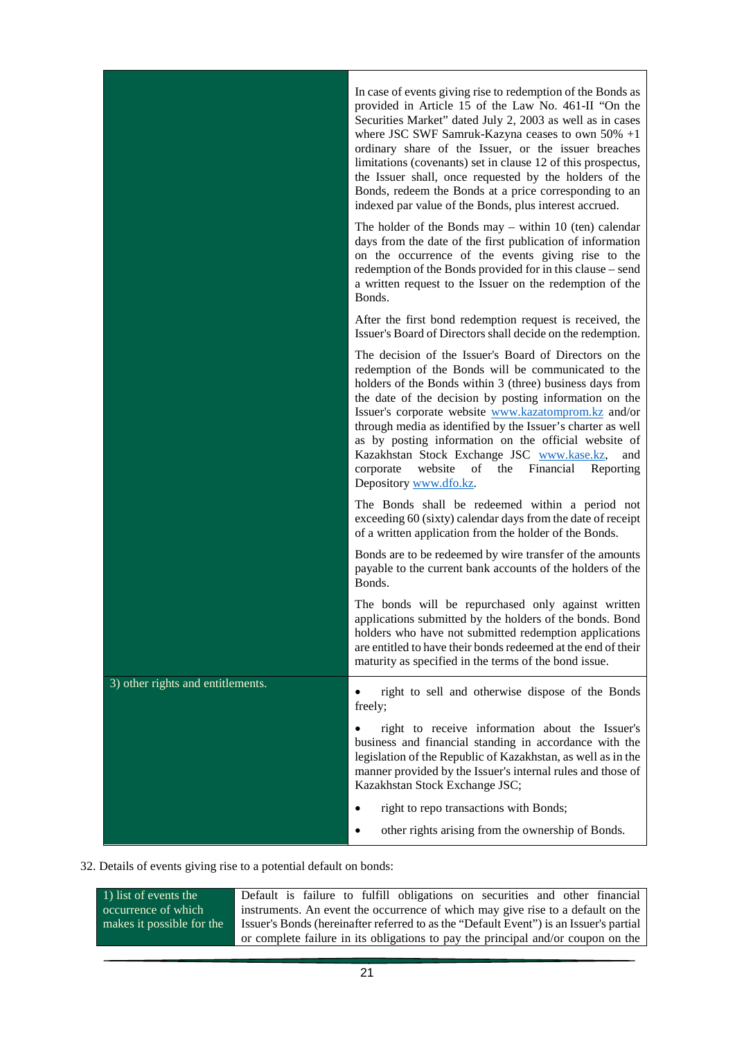|                                   | In case of events giving rise to redemption of the Bonds as<br>provided in Article 15 of the Law No. 461-II "On the<br>Securities Market" dated July 2, 2003 as well as in cases<br>where JSC SWF Samruk-Kazyna ceases to own $50\% +1$<br>ordinary share of the Issuer, or the issuer breaches<br>limitations (covenants) set in clause 12 of this prospectus,<br>the Issuer shall, once requested by the holders of the<br>Bonds, redeem the Bonds at a price corresponding to an<br>indexed par value of the Bonds, plus interest accrued.                 |
|-----------------------------------|---------------------------------------------------------------------------------------------------------------------------------------------------------------------------------------------------------------------------------------------------------------------------------------------------------------------------------------------------------------------------------------------------------------------------------------------------------------------------------------------------------------------------------------------------------------|
|                                   | The holder of the Bonds may $-$ within 10 (ten) calendar<br>days from the date of the first publication of information<br>on the occurrence of the events giving rise to the<br>redemption of the Bonds provided for in this clause – send<br>a written request to the Issuer on the redemption of the<br>Bonds.                                                                                                                                                                                                                                              |
|                                   | After the first bond redemption request is received, the<br>Issuer's Board of Directors shall decide on the redemption.                                                                                                                                                                                                                                                                                                                                                                                                                                       |
|                                   | The decision of the Issuer's Board of Directors on the<br>redemption of the Bonds will be communicated to the<br>holders of the Bonds within 3 (three) business days from<br>the date of the decision by posting information on the<br>Issuer's corporate website www.kazatomprom.kz and/or<br>through media as identified by the Issuer's charter as well<br>as by posting information on the official website of<br>Kazakhstan Stock Exchange JSC www.kase.kz,<br>and<br>website<br>of<br>the Financial<br>Reporting<br>corporate<br>Depository www.dfo.kz. |
|                                   | The Bonds shall be redeemed within a period not<br>exceeding 60 (sixty) calendar days from the date of receipt<br>of a written application from the holder of the Bonds.                                                                                                                                                                                                                                                                                                                                                                                      |
|                                   | Bonds are to be redeemed by wire transfer of the amounts<br>payable to the current bank accounts of the holders of the<br>Bonds.                                                                                                                                                                                                                                                                                                                                                                                                                              |
|                                   | The bonds will be repurchased only against written<br>applications submitted by the holders of the bonds. Bond<br>holders who have not submitted redemption applications<br>are entitled to have their bonds redeemed at the end of their<br>maturity as specified in the terms of the bond issue.                                                                                                                                                                                                                                                            |
| 3) other rights and entitlements. | right to sell and otherwise dispose of the Bonds<br>٠<br>freely;                                                                                                                                                                                                                                                                                                                                                                                                                                                                                              |
|                                   | right to receive information about the Issuer's<br>business and financial standing in accordance with the<br>legislation of the Republic of Kazakhstan, as well as in the<br>manner provided by the Issuer's internal rules and those of<br>Kazakhstan Stock Exchange JSC;                                                                                                                                                                                                                                                                                    |
|                                   | right to repo transactions with Bonds;                                                                                                                                                                                                                                                                                                                                                                                                                                                                                                                        |
|                                   | other rights arising from the ownership of Bonds.<br>$\bullet$                                                                                                                                                                                                                                                                                                                                                                                                                                                                                                |

32. Details of events giving rise to a potential default on bonds:

| 1) list of events the     | Default is failure to fulfill obligations on securities and other financial            |  |
|---------------------------|----------------------------------------------------------------------------------------|--|
| occurrence of which       | instruments. An event the occurrence of which may give rise to a default on the        |  |
| makes it possible for the | Issuer's Bonds (hereinafter referred to as the "Default Event") is an Issuer's partial |  |
|                           | or complete failure in its obligations to pay the principal and/or coupon on the       |  |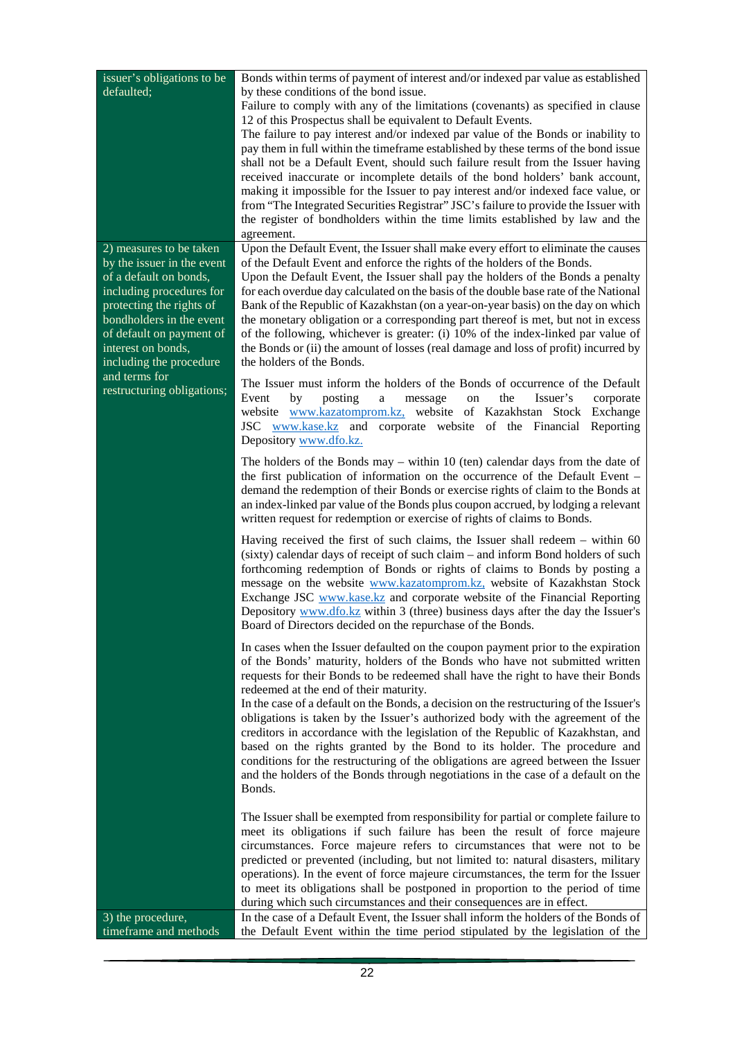| issuer's obligations to be<br>defaulted;                                                                                                                                                                     | Bonds within terms of payment of interest and/or indexed par value as established<br>by these conditions of the bond issue.<br>Failure to comply with any of the limitations (covenants) as specified in clause<br>12 of this Prospectus shall be equivalent to Default Events.<br>The failure to pay interest and/or indexed par value of the Bonds or inability to<br>pay them in full within the timeframe established by these terms of the bond issue<br>shall not be a Default Event, should such failure result from the Issuer having<br>received inaccurate or incomplete details of the bond holders' bank account,<br>making it impossible for the Issuer to pay interest and/or indexed face value, or<br>from "The Integrated Securities Registrar" JSC's failure to provide the Issuer with<br>the register of bondholders within the time limits established by law and the<br>agreement. |
|--------------------------------------------------------------------------------------------------------------------------------------------------------------------------------------------------------------|----------------------------------------------------------------------------------------------------------------------------------------------------------------------------------------------------------------------------------------------------------------------------------------------------------------------------------------------------------------------------------------------------------------------------------------------------------------------------------------------------------------------------------------------------------------------------------------------------------------------------------------------------------------------------------------------------------------------------------------------------------------------------------------------------------------------------------------------------------------------------------------------------------|
| 2) measures to be taken<br>by the issuer in the event<br>of a default on bonds,                                                                                                                              | Upon the Default Event, the Issuer shall make every effort to eliminate the causes<br>of the Default Event and enforce the rights of the holders of the Bonds.<br>Upon the Default Event, the Issuer shall pay the holders of the Bonds a penalty<br>for each overdue day calculated on the basis of the double base rate of the National                                                                                                                                                                                                                                                                                                                                                                                                                                                                                                                                                                |
| including procedures for<br>protecting the rights of<br>bondholders in the event<br>of default on payment of<br>interest on bonds,<br>including the procedure<br>and terms for<br>restructuring obligations; | Bank of the Republic of Kazakhstan (on a year-on-year basis) on the day on which<br>the monetary obligation or a corresponding part thereof is met, but not in excess<br>of the following, whichever is greater: (i) 10% of the index-linked par value of<br>the Bonds or (ii) the amount of losses (real damage and loss of profit) incurred by<br>the holders of the Bonds.                                                                                                                                                                                                                                                                                                                                                                                                                                                                                                                            |
|                                                                                                                                                                                                              | The Issuer must inform the holders of the Bonds of occurrence of the Default<br>Event<br>by<br>posting<br>the<br>$\mathbf{a}$<br>Issuer's<br>message<br>corporate<br>on<br>website www.kazatomprom.kz, website of Kazakhstan Stock Exchange<br>JSC www.kase.kz and corporate website of the Financial Reporting<br>Depository www.dfo.kz.                                                                                                                                                                                                                                                                                                                                                                                                                                                                                                                                                                |
|                                                                                                                                                                                                              | The holders of the Bonds may $-$ within 10 (ten) calendar days from the date of<br>the first publication of information on the occurrence of the Default Event -<br>demand the redemption of their Bonds or exercise rights of claim to the Bonds at<br>an index-linked par value of the Bonds plus coupon accrued, by lodging a relevant<br>written request for redemption or exercise of rights of claims to Bonds.                                                                                                                                                                                                                                                                                                                                                                                                                                                                                    |
|                                                                                                                                                                                                              | Having received the first of such claims, the Issuer shall redeem $-$ within 60<br>(sixty) calendar days of receipt of such claim – and inform Bond holders of such<br>forthcoming redemption of Bonds or rights of claims to Bonds by posting a<br>message on the website www.kazatomprom.kz, website of Kazakhstan Stock<br>Exchange JSC www.kase.kz and corporate website of the Financial Reporting<br>Depository www.dfo.kz within 3 (three) business days after the day the Issuer's<br>Board of Directors decided on the repurchase of the Bonds.                                                                                                                                                                                                                                                                                                                                                 |
|                                                                                                                                                                                                              | In cases when the Issuer defaulted on the coupon payment prior to the expiration<br>of the Bonds' maturity, holders of the Bonds who have not submitted written<br>requests for their Bonds to be redeemed shall have the right to have their Bonds<br>redeemed at the end of their maturity.<br>In the case of a default on the Bonds, a decision on the restructuring of the Issuer's<br>obligations is taken by the Issuer's authorized body with the agreement of the<br>creditors in accordance with the legislation of the Republic of Kazakhstan, and<br>based on the rights granted by the Bond to its holder. The procedure and<br>conditions for the restructuring of the obligations are agreed between the Issuer<br>and the holders of the Bonds through negotiations in the case of a default on the<br>Bonds.                                                                             |
|                                                                                                                                                                                                              | The Issuer shall be exempted from responsibility for partial or complete failure to<br>meet its obligations if such failure has been the result of force majeure<br>circumstances. Force majeure refers to circumstances that were not to be<br>predicted or prevented (including, but not limited to: natural disasters, military<br>operations). In the event of force majeure circumstances, the term for the Issuer<br>to meet its obligations shall be postponed in proportion to the period of time<br>during which such circumstances and their consequences are in effect.                                                                                                                                                                                                                                                                                                                       |
| 3) the procedure,<br>timeframe and methods                                                                                                                                                                   | In the case of a Default Event, the Issuer shall inform the holders of the Bonds of<br>the Default Event within the time period stipulated by the legislation of the                                                                                                                                                                                                                                                                                                                                                                                                                                                                                                                                                                                                                                                                                                                                     |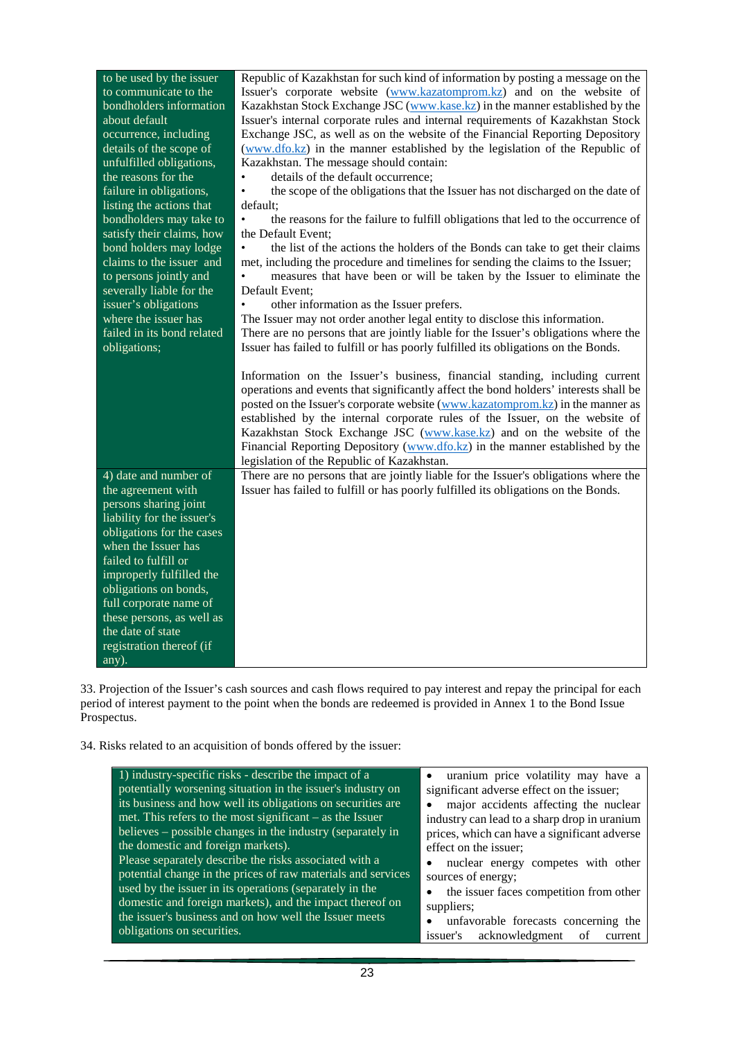| to be used by the issuer          | Republic of Kazakhstan for such kind of information by posting a message on the               |
|-----------------------------------|-----------------------------------------------------------------------------------------------|
| to communicate to the             | Issuer's corporate website (www.kazatomprom.kz) and on the website of                         |
| bondholders information           | Kazakhstan Stock Exchange JSC (www.kase.kz) in the manner established by the                  |
| about default                     | Issuer's internal corporate rules and internal requirements of Kazakhstan Stock               |
| occurrence, including             | Exchange JSC, as well as on the website of the Financial Reporting Depository                 |
| details of the scope of           | (www.dfo.kz) in the manner established by the legislation of the Republic of                  |
| unfulfilled obligations,          | Kazakhstan. The message should contain:                                                       |
| the reasons for the               | details of the default occurrence;                                                            |
| failure in obligations,           | the scope of the obligations that the Issuer has not discharged on the date of<br>$\bullet$   |
| listing the actions that          |                                                                                               |
|                                   | default;                                                                                      |
| bondholders may take to           | the reasons for the failure to fulfill obligations that led to the occurrence of<br>$\bullet$ |
| satisfy their claims, how         | the Default Event;                                                                            |
| bond holders may lodge            | $\bullet$<br>the list of the actions the holders of the Bonds can take to get their claims    |
| claims to the issuer and          | met, including the procedure and timelines for sending the claims to the Issuer;              |
| to persons jointly and            | measures that have been or will be taken by the Issuer to eliminate the                       |
| severally liable for the          | Default Event:                                                                                |
| issuer's obligations              | other information as the Issuer prefers.<br>$\bullet$                                         |
| where the issuer has              | The Issuer may not order another legal entity to disclose this information.                   |
| failed in its bond related        | There are no persons that are jointly liable for the Issuer's obligations where the           |
| obligations;                      | Issuer has failed to fulfill or has poorly fulfilled its obligations on the Bonds.            |
|                                   |                                                                                               |
|                                   | Information on the Issuer's business, financial standing, including current                   |
|                                   | operations and events that significantly affect the bond holders' interests shall be          |
|                                   | posted on the Issuer's corporate website (www.kazatomprom.kz) in the manner as                |
|                                   | established by the internal corporate rules of the Issuer, on the website of                  |
|                                   | Kazakhstan Stock Exchange JSC (www.kase.kz) and on the website of the                         |
|                                   | Financial Reporting Depository (www.dfo.kz) in the manner established by the                  |
|                                   | legislation of the Republic of Kazakhstan.                                                    |
| 4) date and number of             | There are no persons that are jointly liable for the Issuer's obligations where the           |
| the agreement with                | Issuer has failed to fulfill or has poorly fulfilled its obligations on the Bonds.            |
| persons sharing joint             |                                                                                               |
| liability for the issuer's        |                                                                                               |
| obligations for the cases         |                                                                                               |
| when the Issuer has               |                                                                                               |
| failed to fulfill or              |                                                                                               |
| improperly fulfilled the          |                                                                                               |
| obligations on bonds,             |                                                                                               |
| full corporate name of            |                                                                                               |
| these persons, as well as         |                                                                                               |
| the date of state                 |                                                                                               |
|                                   |                                                                                               |
|                                   |                                                                                               |
| registration thereof (if<br>any). |                                                                                               |

33. Projection of the Issuer's cash sources and cash flows required to pay interest and repay the principal for each period of interest payment to the point when the bonds are redeemed is provided in Annex 1 to the Bond Issue Prospectus.

34. Risks related to an acquisition of bonds offered by the issuer: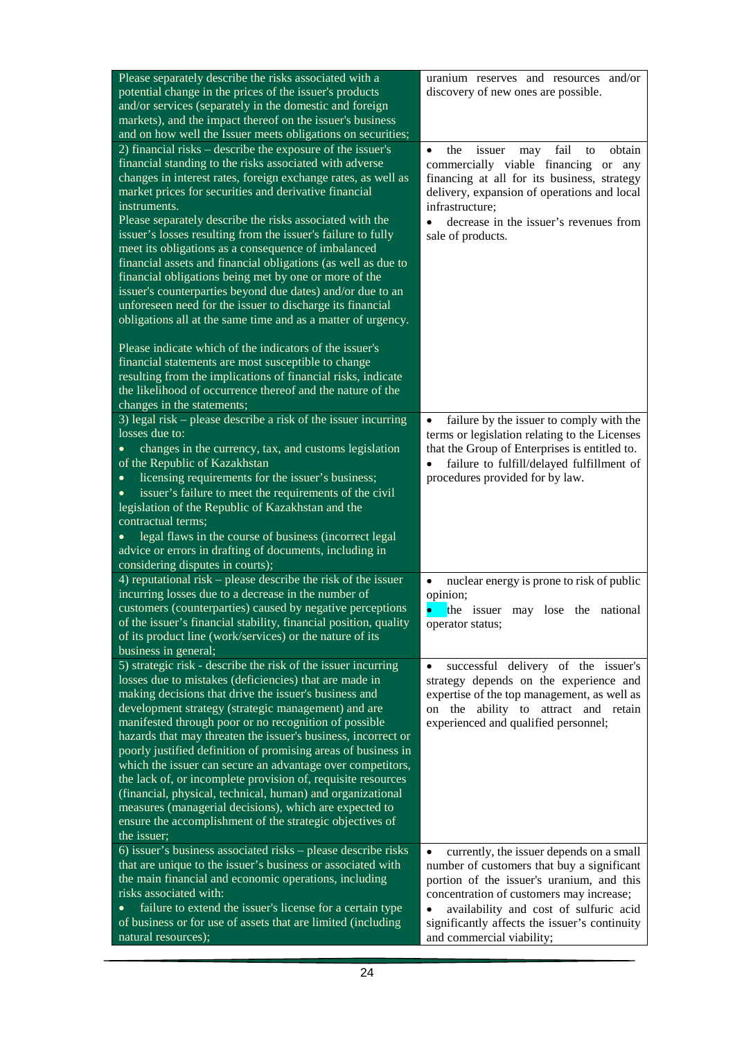| Please separately describe the risks associated with a                                                                      | uranium reserves and resources and/or                                                               |
|-----------------------------------------------------------------------------------------------------------------------------|-----------------------------------------------------------------------------------------------------|
| potential change in the prices of the issuer's products<br>and/or services (separately in the domestic and foreign          | discovery of new ones are possible.                                                                 |
| markets), and the impact thereof on the issuer's business                                                                   |                                                                                                     |
| and on how well the Issuer meets obligations on securities;                                                                 |                                                                                                     |
| 2) financial risks – describe the exposure of the issuer's                                                                  | fail<br>the<br>obtain<br>$\bullet$<br>issuer<br>may<br>to                                           |
| financial standing to the risks associated with adverse                                                                     | commercially viable financing or<br>any                                                             |
| changes in interest rates, foreign exchange rates, as well as                                                               | financing at all for its business, strategy                                                         |
| market prices for securities and derivative financial<br>instruments.                                                       | delivery, expansion of operations and local<br>infrastructure;                                      |
| Please separately describe the risks associated with the                                                                    | decrease in the issuer's revenues from                                                              |
| issuer's losses resulting from the issuer's failure to fully                                                                | sale of products.                                                                                   |
| meet its obligations as a consequence of imbalanced                                                                         |                                                                                                     |
| financial assets and financial obligations (as well as due to                                                               |                                                                                                     |
| financial obligations being met by one or more of the                                                                       |                                                                                                     |
| issuer's counterparties beyond due dates) and/or due to an<br>unforeseen need for the issuer to discharge its financial     |                                                                                                     |
| obligations all at the same time and as a matter of urgency.                                                                |                                                                                                     |
|                                                                                                                             |                                                                                                     |
| Please indicate which of the indicators of the issuer's                                                                     |                                                                                                     |
| financial statements are most susceptible to change                                                                         |                                                                                                     |
| resulting from the implications of financial risks, indicate<br>the likelihood of occurrence thereof and the nature of the  |                                                                                                     |
| changes in the statements;                                                                                                  |                                                                                                     |
| 3) legal risk – please describe a risk of the issuer incurring                                                              | failure by the issuer to comply with the                                                            |
| losses due to:                                                                                                              | terms or legislation relating to the Licenses                                                       |
| changes in the currency, tax, and customs legislation                                                                       | that the Group of Enterprises is entitled to.                                                       |
| of the Republic of Kazakhstan                                                                                               | failure to fulfill/delayed fulfillment of                                                           |
| licensing requirements for the issuer's business;<br>$\bullet$                                                              | procedures provided for by law.                                                                     |
| issuer's failure to meet the requirements of the civil<br>legislation of the Republic of Kazakhstan and the                 |                                                                                                     |
| contractual terms;                                                                                                          |                                                                                                     |
| legal flaws in the course of business (incorrect legal                                                                      |                                                                                                     |
| advice or errors in drafting of documents, including in                                                                     |                                                                                                     |
| considering disputes in courts);                                                                                            |                                                                                                     |
| 4) reputational risk $-$ please describe the risk of the issuer<br>incurring losses due to a decrease in the number of      | nuclear energy is prone to risk of public<br>$\bullet$<br>opinion;                                  |
| customers (counterparties) caused by negative perceptions                                                                   | $\bullet$<br>the issuer may lose the national                                                       |
| of the issuer's financial stability, financial position, quality                                                            | operator status;                                                                                    |
| of its product line (work/services) or the nature of its                                                                    |                                                                                                     |
| business in general;                                                                                                        |                                                                                                     |
| 5) strategic risk - describe the risk of the issuer incurring<br>losses due to mistakes (deficiencies) that are made in     | successful delivery of the issuer's<br>$\bullet$<br>strategy depends on the experience and          |
| making decisions that drive the issuer's business and                                                                       | expertise of the top management, as well as                                                         |
| development strategy (strategic management) and are                                                                         | on the ability to attract and retain                                                                |
| manifested through poor or no recognition of possible                                                                       | experienced and qualified personnel;                                                                |
| hazards that may threaten the issuer's business, incorrect or                                                               |                                                                                                     |
| poorly justified definition of promising areas of business in<br>which the issuer can secure an advantage over competitors, |                                                                                                     |
| the lack of, or incomplete provision of, requisite resources                                                                |                                                                                                     |
| (financial, physical, technical, human) and organizational                                                                  |                                                                                                     |
| measures (managerial decisions), which are expected to                                                                      |                                                                                                     |
| ensure the accomplishment of the strategic objectives of                                                                    |                                                                                                     |
| the issuer;<br>6) issuer's business associated risks - please describe risks                                                |                                                                                                     |
| that are unique to the issuer's business or associated with                                                                 | currently, the issuer depends on a small<br>$\bullet$<br>number of customers that buy a significant |
| the main financial and economic operations, including                                                                       | portion of the issuer's uranium, and this                                                           |
| risks associated with:                                                                                                      | concentration of customers may increase;                                                            |
| failure to extend the issuer's license for a certain type<br>$\bullet$                                                      | availability and cost of sulfuric acid<br>$\bullet$                                                 |
| of business or for use of assets that are limited (including                                                                | significantly affects the issuer's continuity                                                       |
| natural resources);                                                                                                         | and commercial viability;                                                                           |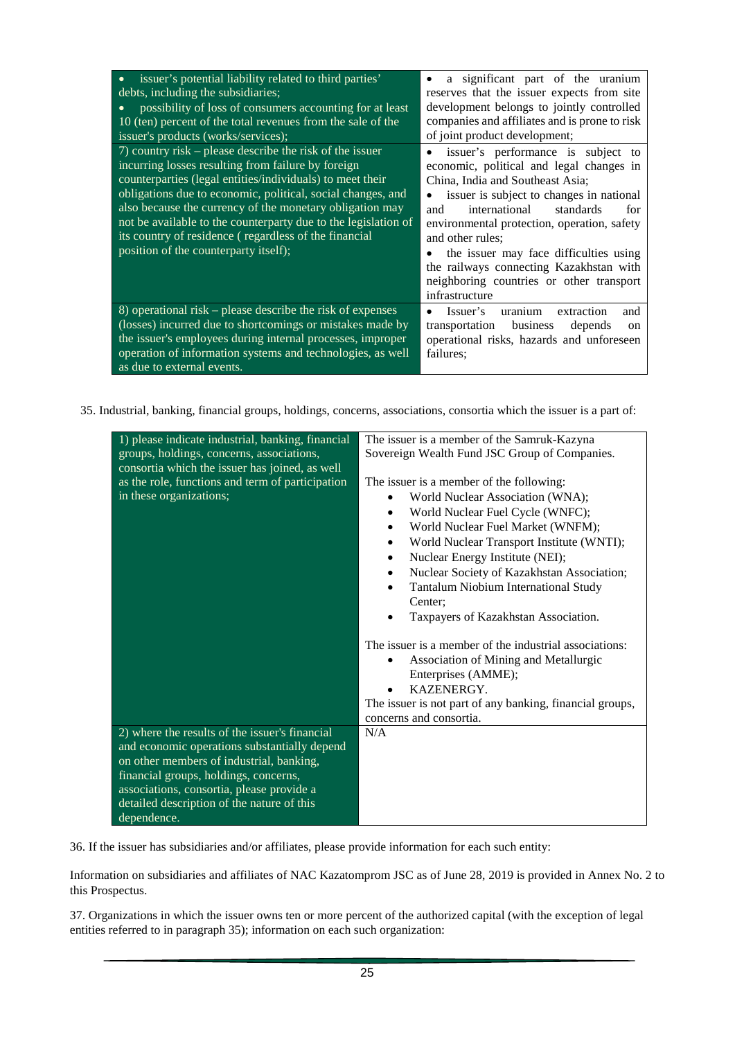| issuer's potential liability related to third parties'<br>debts, including the subsidiaries;<br>possibility of loss of consumers accounting for at least<br>10 (ten) percent of the total revenues from the sale of the<br>issuer's products (works/services);<br>7) country risk – please describe the risk of the issuer<br>incurring losses resulting from failure by foreign<br>counterparties (legal entities/individuals) to meet their<br>obligations due to economic, political, social changes, and<br>also because the currency of the monetary obligation may<br>not be available to the counterparty due to the legislation of<br>its country of residence (regardless of the financial<br>position of the counterparty itself); | a significant part of the uranium<br>reserves that the issuer expects from site<br>development belongs to jointly controlled<br>companies and affiliates and is prone to risk<br>of joint product development;<br>issuer's performance is subject to<br>$\bullet$<br>economic, political and legal changes in<br>China, India and Southeast Asia;<br>issuer is subject to changes in national<br>international<br>standards<br>and<br>for<br>environmental protection, operation, safety<br>and other rules;<br>the issuer may face difficulties using<br>the railways connecting Kazakhstan with<br>neighboring countries or other transport<br>infrastructure |
|----------------------------------------------------------------------------------------------------------------------------------------------------------------------------------------------------------------------------------------------------------------------------------------------------------------------------------------------------------------------------------------------------------------------------------------------------------------------------------------------------------------------------------------------------------------------------------------------------------------------------------------------------------------------------------------------------------------------------------------------|-----------------------------------------------------------------------------------------------------------------------------------------------------------------------------------------------------------------------------------------------------------------------------------------------------------------------------------------------------------------------------------------------------------------------------------------------------------------------------------------------------------------------------------------------------------------------------------------------------------------------------------------------------------------|
| 8) operational risk – please describe the risk of expenses<br>(losses) incurred due to shortcomings or mistakes made by<br>the issuer's employees during internal processes, improper<br>operation of information systems and technologies, as well<br>as due to external events.                                                                                                                                                                                                                                                                                                                                                                                                                                                            | Issuer's<br>uranium<br>extraction<br>and<br>transportation business<br>depends<br><sub>on</sub><br>operational risks, hazards and unforeseen<br>failures:                                                                                                                                                                                                                                                                                                                                                                                                                                                                                                       |

35. Industrial, banking, financial groups, holdings, concerns, associations, consortia which the issuer is a part of:

| 1) please indicate industrial, banking, financial<br>groups, holdings, concerns, associations,<br>consortia which the issuer has joined, as well<br>as the role, functions and term of participation<br>in these organizations;                                                               | The issuer is a member of the Samruk-Kazyna<br>Sovereign Wealth Fund JSC Group of Companies.<br>The issuer is a member of the following:<br>World Nuclear Association (WNA);<br>World Nuclear Fuel Cycle (WNFC);<br>$\bullet$<br>World Nuclear Fuel Market (WNFM);<br>٠<br>World Nuclear Transport Institute (WNTI);<br>$\bullet$<br>Nuclear Energy Institute (NEI);<br>$\bullet$<br>Nuclear Society of Kazakhstan Association;<br>$\bullet$<br>Tantalum Niobium International Study<br>$\bullet$<br>Center: |  |
|-----------------------------------------------------------------------------------------------------------------------------------------------------------------------------------------------------------------------------------------------------------------------------------------------|--------------------------------------------------------------------------------------------------------------------------------------------------------------------------------------------------------------------------------------------------------------------------------------------------------------------------------------------------------------------------------------------------------------------------------------------------------------------------------------------------------------|--|
| 2) where the results of the issuer's financial<br>and economic operations substantially depend<br>on other members of industrial, banking,<br>financial groups, holdings, concerns,<br>associations, consortia, please provide a<br>detailed description of the nature of this<br>dependence. | Taxpayers of Kazakhstan Association.<br>$\bullet$<br>The issuer is a member of the industrial associations:<br>Association of Mining and Metallurgic<br>$\bullet$<br>Enterprises (AMME);<br>KAZENERGY.<br>The issuer is not part of any banking, financial groups,<br>concerns and consortia.<br>N/A                                                                                                                                                                                                         |  |

36. If the issuer has subsidiaries and/or affiliates, please provide information for each such entity:

Information on subsidiaries and affiliates of NAC Kazatomprom JSC as of June 28, 2019 is provided in Annex No. 2 to this Prospectus.

37. Organizations in which the issuer owns ten or more percent of the authorized capital (with the exception of legal entities referred to in paragraph 35); information on each such organization: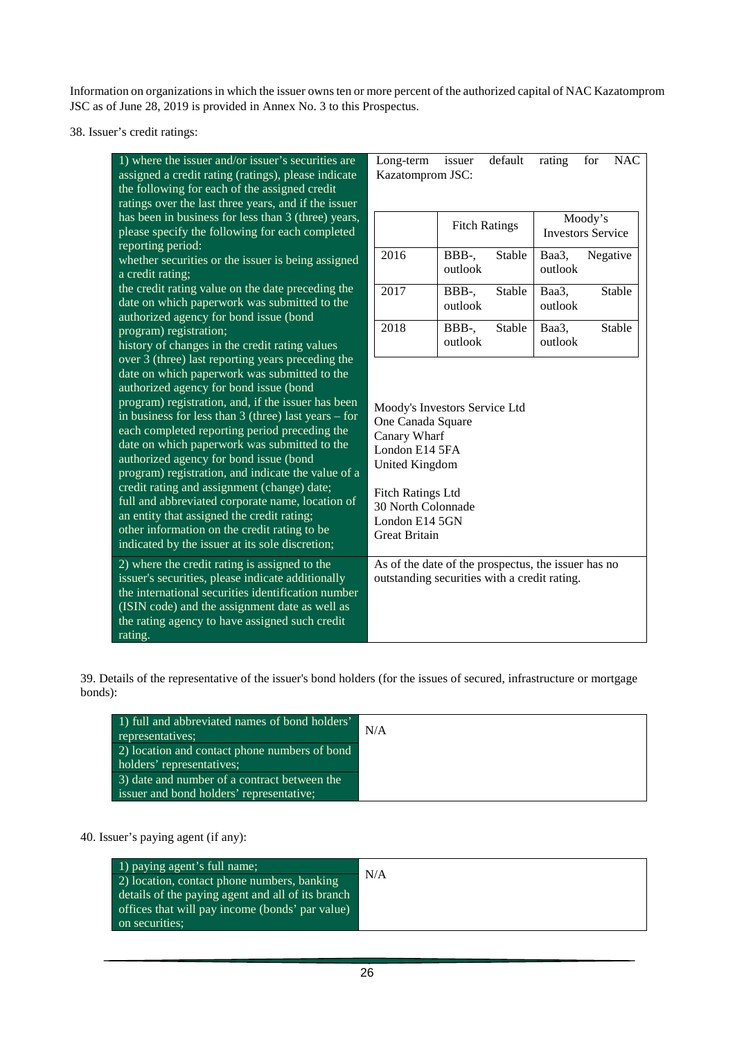Information on organizations in which the issuer owns ten or more percent of the authorized capital of NAC Kazatomprom JSC as of June 28, 2019 is provided in Annex No. 3 to this Prospectus.

38. Issuer's credit ratings:

| 1) where the issuer and/or issuer's securities are<br>assigned a credit rating (ratings), please indicate<br>the following for each of the assigned credit<br>ratings over the last three years, and if the issuer                                                                                            | Long-term<br>Kazatomprom JSC:                                                                          | issuer           | default              | rating                   | for      | <b>NAC</b> |
|---------------------------------------------------------------------------------------------------------------------------------------------------------------------------------------------------------------------------------------------------------------------------------------------------------------|--------------------------------------------------------------------------------------------------------|------------------|----------------------|--------------------------|----------|------------|
| has been in business for less than 3 (three) years,<br>please specify the following for each completed<br>reporting period:                                                                                                                                                                                   |                                                                                                        |                  | <b>Fitch Ratings</b> | <b>Investors Service</b> | Moody's  |            |
| whether securities or the issuer is being assigned<br>a credit rating;                                                                                                                                                                                                                                        | 2016                                                                                                   | BBB-,<br>outlook | Stable               | Baa3,<br>outlook         | Negative |            |
| the credit rating value on the date preceding the<br>date on which paperwork was submitted to the<br>authorized agency for bond issue (bond                                                                                                                                                                   | 2017                                                                                                   | BBB-,<br>outlook | Stable               | Baa3,<br>outlook         |          | Stable     |
| program) registration;<br>history of changes in the credit rating values                                                                                                                                                                                                                                      | 2018                                                                                                   | BBB-,<br>outlook | Stable               | Baa3,<br>outlook         |          | Stable     |
| over 3 (three) last reporting years preceding the<br>date on which paperwork was submitted to the<br>authorized agency for bond issue (bond                                                                                                                                                                   |                                                                                                        |                  |                      |                          |          |            |
| program) registration, and, if the issuer has been<br>in business for less than $3$ (three) last years – for<br>each completed reporting period preceding the<br>date on which paperwork was submitted to the<br>authorized agency for bond issue (bond<br>program) registration, and indicate the value of a | Moody's Investors Service Ltd<br>One Canada Square<br>Canary Wharf<br>London E14 5FA<br>United Kingdom |                  |                      |                          |          |            |
| credit rating and assignment (change) date;<br>full and abbreviated corporate name, location of<br>an entity that assigned the credit rating;<br>other information on the credit rating to be<br>indicated by the issuer at its sole discretion;                                                              | <b>Fitch Ratings Ltd</b><br>30 North Colonnade<br>London E14 5GN<br><b>Great Britain</b>               |                  |                      |                          |          |            |
| 2) where the credit rating is assigned to the<br>issuer's securities, please indicate additionally<br>the international securities identification number<br>(ISIN code) and the assignment date as well as<br>the rating agency to have assigned such credit<br>rating.                                       | As of the date of the prospectus, the issuer has no<br>outstanding securities with a credit rating.    |                  |                      |                          |          |            |

39. Details of the representative of the issuer's bond holders (for the issues of secured, infrastructure or mortgage bonds):

| 1) full and abbreviated names of bond holders'<br>representatives; | N/A |
|--------------------------------------------------------------------|-----|
| 2) location and contact phone numbers of bond                      |     |
| holders' representatives;                                          |     |
| 3) date and number of a contract between the                       |     |
| issuer and bond holders' representative;                           |     |

## 40. Issuer's paying agent (if any):

| 1) paying agent's full name;                      |     |
|---------------------------------------------------|-----|
| (2) location, contact phone numbers, banking      | N/A |
| details of the paying agent and all of its branch |     |
| offices that will pay income (bonds' par value)   |     |
| on securities;                                    |     |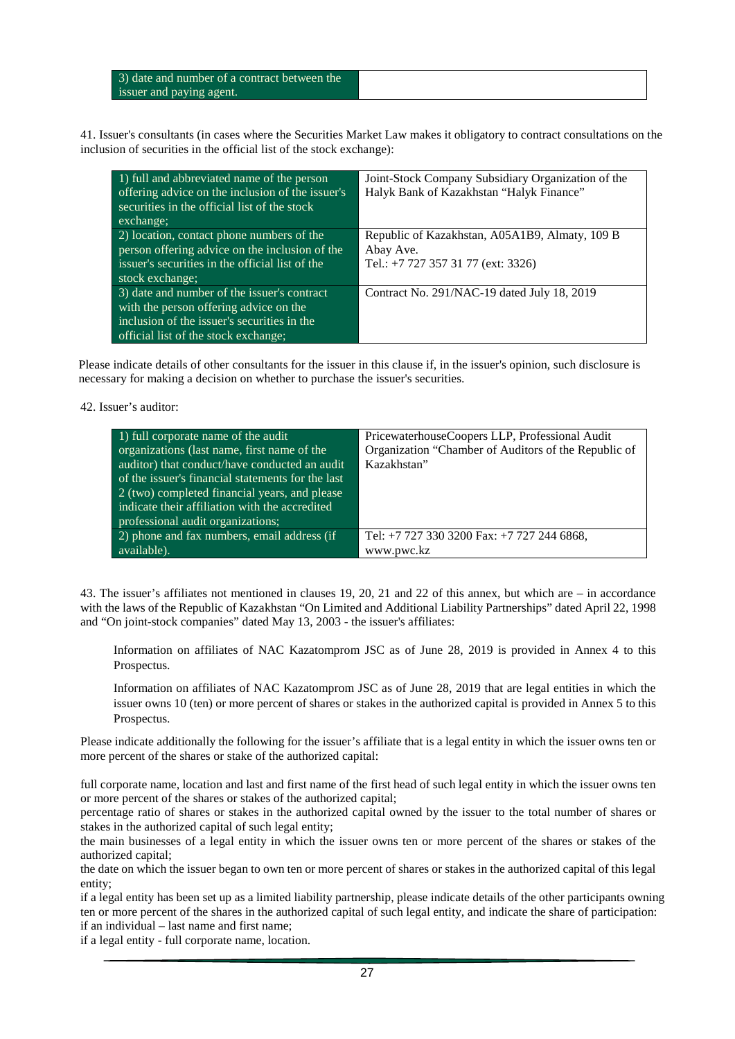| 3) date and number of a contract between the |  |
|----------------------------------------------|--|
| issuer and paying agent.                     |  |

41. Issuer's consultants (in cases where the Securities Market Law makes it obligatory to contract consultations on the inclusion of securities in the official list of the stock exchange):

| 1) full and abbreviated name of the person<br>offering advice on the inclusion of the issuer's<br>securities in the official list of the stock<br>exchange;                  | Joint-Stock Company Subsidiary Organization of the<br>Halyk Bank of Kazakhstan "Halyk Finance"    |
|------------------------------------------------------------------------------------------------------------------------------------------------------------------------------|---------------------------------------------------------------------------------------------------|
| 2) location, contact phone numbers of the<br>person offering advice on the inclusion of the<br>issuer's securities in the official list of the<br>stock exchange;            | Republic of Kazakhstan, A05A1B9, Almaty, 109 B<br>Abay Ave.<br>Tel.: +7 727 357 31 77 (ext: 3326) |
| 3) date and number of the issuer's contract<br>with the person offering advice on the<br>inclusion of the issuer's securities in the<br>official list of the stock exchange; | Contract No. 291/NAC-19 dated July 18, 2019                                                       |

Please indicate details of other consultants for the issuer in this clause if, in the issuer's opinion, such disclosure is necessary for making a decision on whether to purchase the issuer's securities.

#### 42. Issuer's auditor:

| $\left( 1 \right)$ full corporate name of the audit<br>organizations (last name, first name of the<br>auditor) that conduct/have conducted an audit<br>of the issuer's financial statements for the last<br>2 (two) completed financial years, and please<br>indicate their affiliation with the accredited<br>professional audit organizations; | PricewaterhouseCoopers LLP, Professional Audit<br>Organization "Chamber of Auditors of the Republic of<br>Kazakhstan" |
|--------------------------------------------------------------------------------------------------------------------------------------------------------------------------------------------------------------------------------------------------------------------------------------------------------------------------------------------------|-----------------------------------------------------------------------------------------------------------------------|
| 2) phone and fax numbers, email address (if                                                                                                                                                                                                                                                                                                      | Tel: +7 727 330 3200 Fax: +7 727 244 6868,                                                                            |
| available).                                                                                                                                                                                                                                                                                                                                      | www.pwc.kz                                                                                                            |

43. The issuer's affiliates not mentioned in clauses 19, 20, 21 and 22 of this annex, but which are – in accordance with the laws of the Republic of Kazakhstan "On Limited and Additional Liability Partnerships" dated April 22, 1998 and "On joint-stock companies" dated May 13, 2003 - the issuer's affiliates:

Information on affiliates of NAC Kazatomprom JSC as of June 28, 2019 is provided in Annex 4 to this Prospectus.

Information on affiliates of NAC Kazatomprom JSC as of June 28, 2019 that are legal entities in which the issuer owns 10 (ten) or more percent of shares or stakes in the authorized capital is provided in Annex 5 to this Prospectus.

Please indicate additionally the following for the issuer's affiliate that is a legal entity in which the issuer owns ten or more percent of the shares or stake of the authorized capital:

full corporate name, location and last and first name of the first head of such legal entity in which the issuer owns ten or more percent of the shares or stakes of the authorized capital;

percentage ratio of shares or stakes in the authorized capital owned by the issuer to the total number of shares or stakes in the authorized capital of such legal entity;

the main businesses of a legal entity in which the issuer owns ten or more percent of the shares or stakes of the authorized capital;

the date on which the issuer began to own ten or more percent of shares or stakes in the authorized capital of this legal entity;

if a legal entity has been set up as a limited liability partnership, please indicate details of the other participants owning ten or more percent of the shares in the authorized capital of such legal entity, and indicate the share of participation: if an individual – last name and first name;

if a legal entity - full corporate name, location.